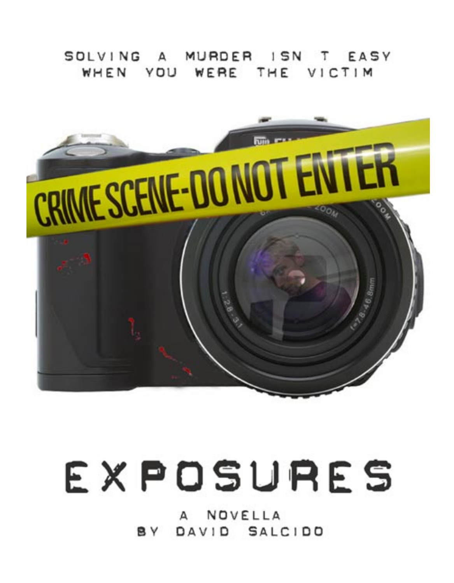#### SOLVING A MURDER ISN T EASY WHEN YOU WERE THE VICTIM



# EXPOSURES

NOVELLA  $\mathsf{A}$ BY DAVID SALCIDO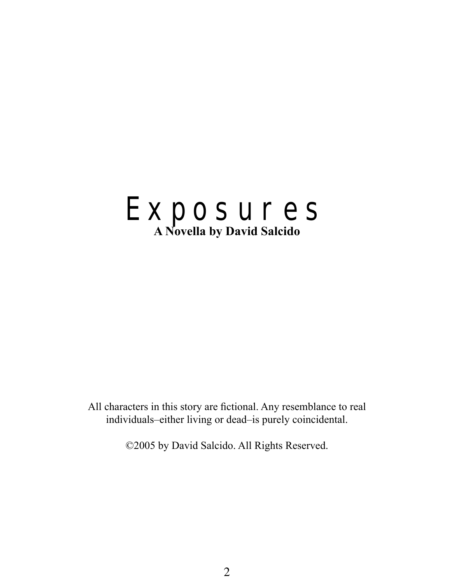

All characters in this story are fictional. Any resemblance to real individuals–either living or dead–is purely coincidental.

©2005 by David Salcido. All Rights Reserved.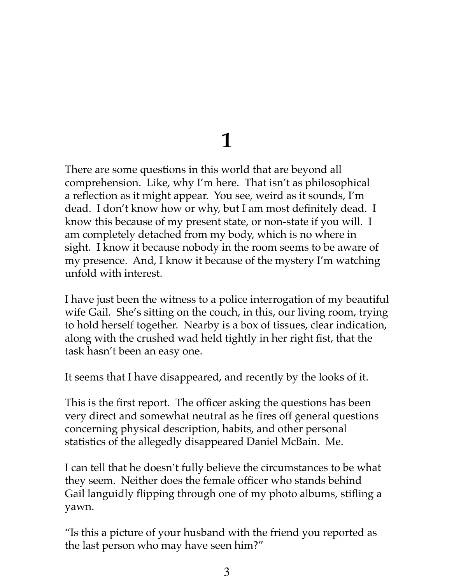#### **1**

There are some questions in this world that are beyond all comprehension. Like, why I'm here. That isn't as philosophical a reflection as it might appear. You see, weird as it sounds, I'm dead. I don't know how or why, but I am most definitely dead. I know this because of my present state, or non-state if you will. I am completely detached from my body, which is no where in sight. I know it because nobody in the room seems to be aware of my presence. And, I know it because of the mystery I'm watching unfold with interest.

I have just been the witness to a police interrogation of my beautiful wife Gail. She's sitting on the couch, in this, our living room, trying to hold herself together. Nearby is a box of tissues, clear indication, along with the crushed wad held tightly in her right fist, that the task hasn't been an easy one.

It seems that I have disappeared, and recently by the looks of it.

This is the first report. The officer asking the questions has been very direct and somewhat neutral as he fires off general questions concerning physical description, habits, and other personal statistics of the allegedly disappeared Daniel McBain. Me.

I can tell that he doesn't fully believe the circumstances to be what they seem. Neither does the female officer who stands behind Gail languidly flipping through one of my photo albums, stifling a yawn.

"Is this a picture of your husband with the friend you reported as the last person who may have seen him?"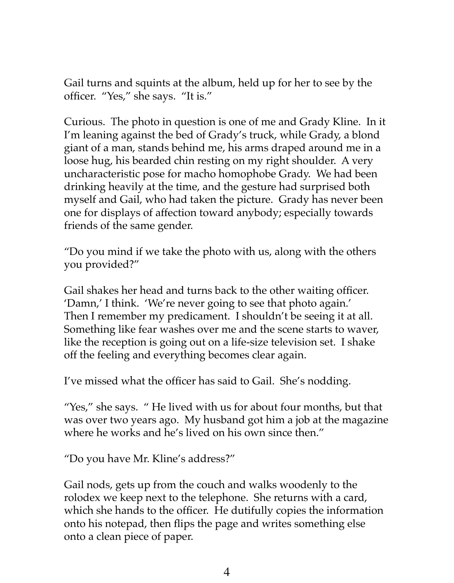Gail turns and squints at the album, held up for her to see by the officer. "Yes," she says. "It is."

Curious. The photo in question is one of me and Grady Kline. In it I'm leaning against the bed of Grady's truck, while Grady, a blond giant of a man, stands behind me, his arms draped around me in a loose hug, his bearded chin resting on my right shoulder. A very uncharacteristic pose for macho homophobe Grady. We had been drinking heavily at the time, and the gesture had surprised both myself and Gail, who had taken the picture. Grady has never been one for displays of affection toward anybody; especially towards friends of the same gender.

"Do you mind if we take the photo with us, along with the others you provided?"

Gail shakes her head and turns back to the other waiting officer. 'Damn,' I think. 'We're never going to see that photo again.' Then I remember my predicament. I shouldn't be seeing it at all. Something like fear washes over me and the scene starts to waver, like the reception is going out on a life-size television set. I shake off the feeling and everything becomes clear again.

I've missed what the officer has said to Gail. She's nodding.

"Yes," she says. " He lived with us for about four months, but that was over two years ago. My husband got him a job at the magazine where he works and he's lived on his own since then."

"Do you have Mr. Kline's address?"

Gail nods, gets up from the couch and walks woodenly to the rolodex we keep next to the telephone. She returns with a card, which she hands to the officer. He dutifully copies the information onto his notepad, then flips the page and writes something else onto a clean piece of paper.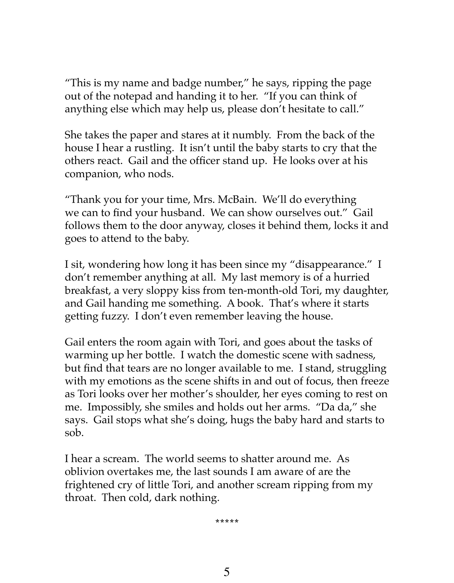"This is my name and badge number," he says, ripping the page out of the notepad and handing it to her. "If you can think of anything else which may help us, please don't hesitate to call."

She takes the paper and stares at it numbly. From the back of the house I hear a rustling. It isn't until the baby starts to cry that the others react. Gail and the officer stand up. He looks over at his companion, who nods.

"Thank you for your time, Mrs. McBain. We'll do everything we can to find your husband. We can show ourselves out." Gail follows them to the door anyway, closes it behind them, locks it and goes to attend to the baby.

I sit, wondering how long it has been since my "disappearance." I don't remember anything at all. My last memory is of a hurried breakfast, a very sloppy kiss from ten-month-old Tori, my daughter, and Gail handing me something. A book. That's where it starts getting fuzzy. I don't even remember leaving the house.

Gail enters the room again with Tori, and goes about the tasks of warming up her bottle. I watch the domestic scene with sadness, but find that tears are no longer available to me. I stand, struggling with my emotions as the scene shifts in and out of focus, then freeze as Tori looks over her mother's shoulder, her eyes coming to rest on me. Impossibly, she smiles and holds out her arms. "Da da," she says. Gail stops what she's doing, hugs the baby hard and starts to sob.

I hear a scream. The world seems to shatter around me. As oblivion overtakes me, the last sounds I am aware of are the frightened cry of little Tori, and another scream ripping from my throat. Then cold, dark nothing.

**\*\*\*\*\***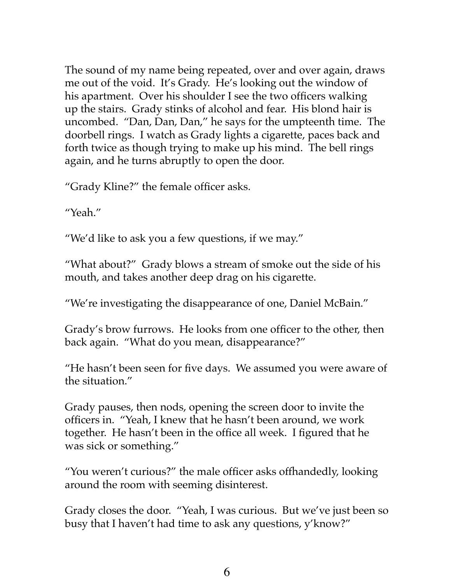The sound of my name being repeated, over and over again, draws me out of the void. It's Grady. He's looking out the window of his apartment. Over his shoulder I see the two officers walking up the stairs. Grady stinks of alcohol and fear. His blond hair is uncombed. "Dan, Dan, Dan," he says for the umpteenth time. The doorbell rings. I watch as Grady lights a cigarette, paces back and forth twice as though trying to make up his mind. The bell rings again, and he turns abruptly to open the door.

"Grady Kline?" the female officer asks.

"Yeah."

"We'd like to ask you a few questions, if we may."

"What about?" Grady blows a stream of smoke out the side of his mouth, and takes another deep drag on his cigarette.

"We're investigating the disappearance of one, Daniel McBain."

Grady's brow furrows. He looks from one officer to the other, then back again. "What do you mean, disappearance?"

"He hasn't been seen for five days. We assumed you were aware of the situation."

Grady pauses, then nods, opening the screen door to invite the officers in. "Yeah, I knew that he hasn't been around, we work together. He hasn't been in the office all week. I figured that he was sick or something."

"You weren't curious?" the male officer asks offhandedly, looking around the room with seeming disinterest.

Grady closes the door. "Yeah, I was curious. But we've just been so busy that I haven't had time to ask any questions, y'know?"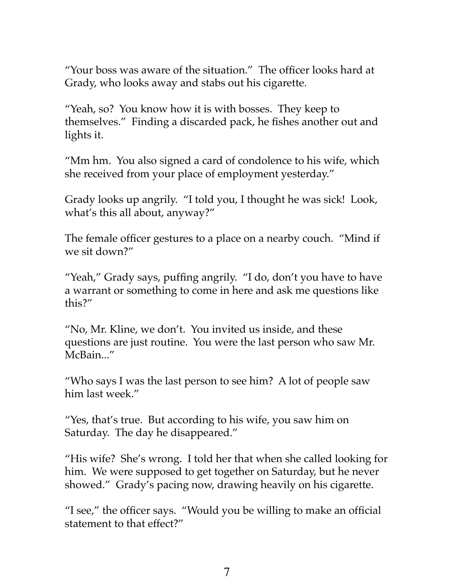"Your boss was aware of the situation." The officer looks hard at Grady, who looks away and stabs out his cigarette.

"Yeah, so? You know how it is with bosses. They keep to themselves." Finding a discarded pack, he fishes another out and lights it.

"Mm hm. You also signed a card of condolence to his wife, which she received from your place of employment yesterday."

Grady looks up angrily. "I told you, I thought he was sick! Look, what's this all about, anyway?"

The female officer gestures to a place on a nearby couch. "Mind if we sit down?"

"Yeah," Grady says, puffing angrily. "I do, don't you have to have a warrant or something to come in here and ask me questions like this?"

"No, Mr. Kline, we don't. You invited us inside, and these questions are just routine. You were the last person who saw Mr. McBain..."

"Who says I was the last person to see him? A lot of people saw him last week."

"Yes, that's true. But according to his wife, you saw him on Saturday. The day he disappeared."

"His wife? She's wrong. I told her that when she called looking for him. We were supposed to get together on Saturday, but he never showed." Grady's pacing now, drawing heavily on his cigarette.

"I see," the officer says. "Would you be willing to make an official statement to that effect?"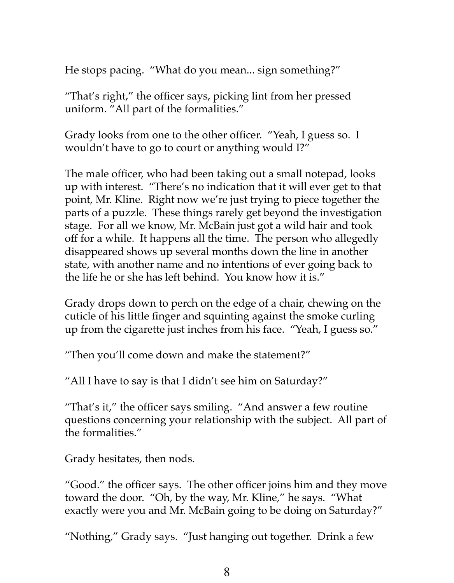He stops pacing. "What do you mean... sign something?"

"That's right," the officer says, picking lint from her pressed uniform. "All part of the formalities."

Grady looks from one to the other officer. "Yeah, I guess so. I wouldn't have to go to court or anything would I?"

The male officer, who had been taking out a small notepad, looks up with interest. "There's no indication that it will ever get to that point, Mr. Kline. Right now we're just trying to piece together the parts of a puzzle. These things rarely get beyond the investigation stage. For all we know, Mr. McBain just got a wild hair and took off for a while. It happens all the time. The person who allegedly disappeared shows up several months down the line in another state, with another name and no intentions of ever going back to the life he or she has left behind. You know how it is."

Grady drops down to perch on the edge of a chair, chewing on the cuticle of his little finger and squinting against the smoke curling up from the cigarette just inches from his face. "Yeah, I guess so."

"Then you'll come down and make the statement?"

"All I have to say is that I didn't see him on Saturday?"

"That's it," the officer says smiling. "And answer a few routine questions concerning your relationship with the subject. All part of the formalities."

Grady hesitates, then nods.

"Good." the officer says. The other officer joins him and they move toward the door. "Oh, by the way, Mr. Kline," he says. "What exactly were you and Mr. McBain going to be doing on Saturday?"

"Nothing," Grady says. "Just hanging out together. Drink a few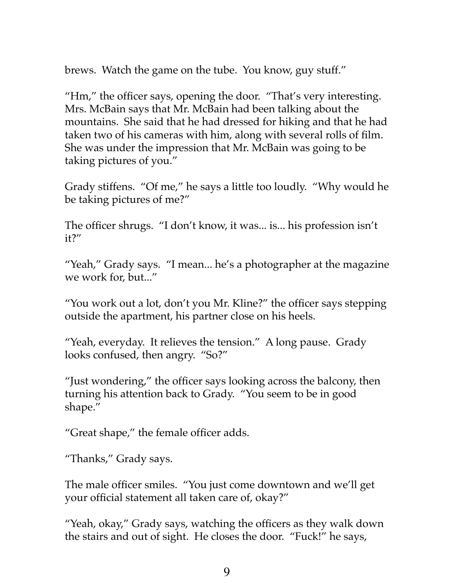brews. Watch the game on the tube. You know, guy stuff."

"Hm," the officer says, opening the door. "That's very interesting. Mrs. McBain says that Mr. McBain had been talking about the mountains. She said that he had dressed for hiking and that he had taken two of his cameras with him, along with several rolls of film. She was under the impression that Mr. McBain was going to be taking pictures of you."

Grady stiffens. "Of me," he says a little too loudly. "Why would he be taking pictures of me?"

The officer shrugs. "I don't know, it was... is... his profession isn't it?"

"Yeah," Grady says. "I mean... he's a photographer at the magazine we work for, but..."

"You work out a lot, don't you Mr. Kline?" the officer says stepping outside the apartment, his partner close on his heels.

"Yeah, everyday. It relieves the tension." A long pause. Grady looks confused, then angry. "So?"

"Just wondering," the officer says looking across the balcony, then turning his attention back to Grady. "You seem to be in good shape."

"Great shape," the female officer adds.

"Thanks," Grady says.

The male officer smiles. "You just come downtown and we'll get your official statement all taken care of, okay?"

"Yeah, okay," Grady says, watching the officers as they walk down the stairs and out of sight. He closes the door. "Fuck!" he says,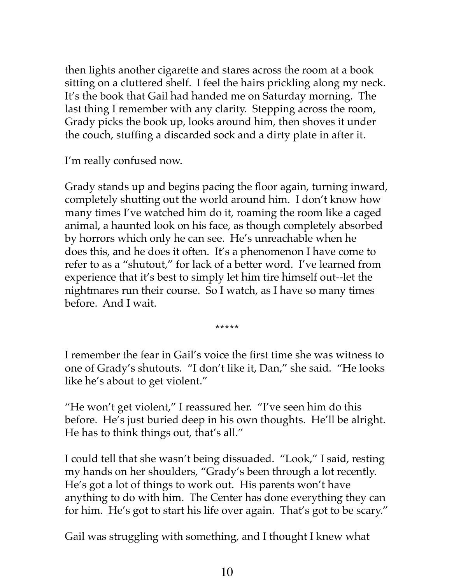then lights another cigarette and stares across the room at a book sitting on a cluttered shelf. I feel the hairs prickling along my neck. It's the book that Gail had handed me on Saturday morning. The last thing I remember with any clarity. Stepping across the room, Grady picks the book up, looks around him, then shoves it under the couch, stuffing a discarded sock and a dirty plate in after it.

I'm really confused now.

Grady stands up and begins pacing the floor again, turning inward, completely shutting out the world around him. I don't know how many times I've watched him do it, roaming the room like a caged animal, a haunted look on his face, as though completely absorbed by horrors which only he can see. He's unreachable when he does this, and he does it often. It's a phenomenon I have come to refer to as a "shutout," for lack of a better word. I've learned from experience that it's best to simply let him tire himself out--let the nightmares run their course. So I watch, as I have so many times before. And I wait.

**\*\*\*\*\***

I remember the fear in Gail's voice the first time she was witness to one of Grady's shutouts. "I don't like it, Dan," she said. "He looks like he's about to get violent."

"He won't get violent," I reassured her. "I've seen him do this before. He's just buried deep in his own thoughts. He'll be alright. He has to think things out, that's all."

I could tell that she wasn't being dissuaded. "Look," I said, resting my hands on her shoulders, "Grady's been through a lot recently. He's got a lot of things to work out. His parents won't have anything to do with him. The Center has done everything they can for him. He's got to start his life over again. That's got to be scary."

Gail was struggling with something, and I thought I knew what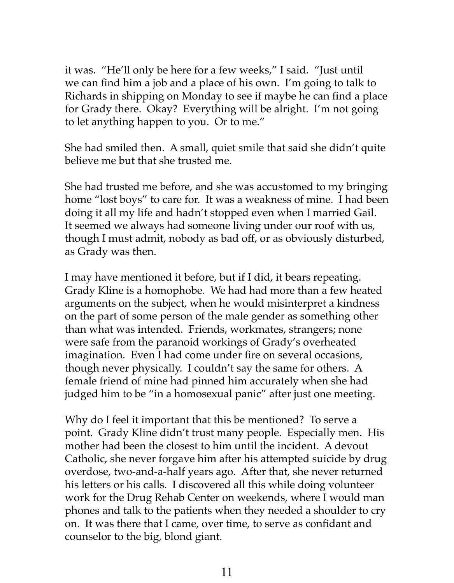it was. "He'll only be here for a few weeks," I said. "Just until we can find him a job and a place of his own. I'm going to talk to Richards in shipping on Monday to see if maybe he can find a place for Grady there. Okay? Everything will be alright. I'm not going to let anything happen to you. Or to me."

She had smiled then. A small, quiet smile that said she didn't quite believe me but that she trusted me.

She had trusted me before, and she was accustomed to my bringing home "lost boys" to care for. It was a weakness of mine. I had been doing it all my life and hadn't stopped even when I married Gail. It seemed we always had someone living under our roof with us, though I must admit, nobody as bad off, or as obviously disturbed, as Grady was then.

I may have mentioned it before, but if I did, it bears repeating. Grady Kline is a homophobe. We had had more than a few heated arguments on the subject, when he would misinterpret a kindness on the part of some person of the male gender as something other than what was intended. Friends, workmates, strangers; none were safe from the paranoid workings of Grady's overheated imagination. Even I had come under fire on several occasions, though never physically. I couldn't say the same for others. A female friend of mine had pinned him accurately when she had judged him to be "in a homosexual panic" after just one meeting.

Why do I feel it important that this be mentioned? To serve a point. Grady Kline didn't trust many people. Especially men. His mother had been the closest to him until the incident. A devout Catholic, she never forgave him after his attempted suicide by drug overdose, two-and-a-half years ago. After that, she never returned his letters or his calls. I discovered all this while doing volunteer work for the Drug Rehab Center on weekends, where I would man phones and talk to the patients when they needed a shoulder to cry on. It was there that I came, over time, to serve as confidant and counselor to the big, blond giant.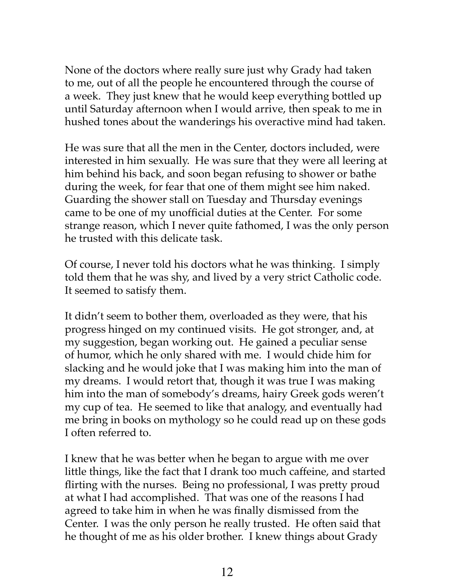None of the doctors where really sure just why Grady had taken to me, out of all the people he encountered through the course of a week. They just knew that he would keep everything bottled up until Saturday afternoon when I would arrive, then speak to me in hushed tones about the wanderings his overactive mind had taken.

He was sure that all the men in the Center, doctors included, were interested in him sexually. He was sure that they were all leering at him behind his back, and soon began refusing to shower or bathe during the week, for fear that one of them might see him naked. Guarding the shower stall on Tuesday and Thursday evenings came to be one of my unofficial duties at the Center. For some strange reason, which I never quite fathomed, I was the only person he trusted with this delicate task.

Of course, I never told his doctors what he was thinking. I simply told them that he was shy, and lived by a very strict Catholic code. It seemed to satisfy them.

It didn't seem to bother them, overloaded as they were, that his progress hinged on my continued visits. He got stronger, and, at my suggestion, began working out. He gained a peculiar sense of humor, which he only shared with me. I would chide him for slacking and he would joke that I was making him into the man of my dreams. I would retort that, though it was true I was making him into the man of somebody's dreams, hairy Greek gods weren't my cup of tea. He seemed to like that analogy, and eventually had me bring in books on mythology so he could read up on these gods I often referred to.

I knew that he was better when he began to argue with me over little things, like the fact that I drank too much caffeine, and started flirting with the nurses. Being no professional, I was pretty proud at what I had accomplished. That was one of the reasons I had agreed to take him in when he was finally dismissed from the Center. I was the only person he really trusted. He often said that he thought of me as his older brother. I knew things about Grady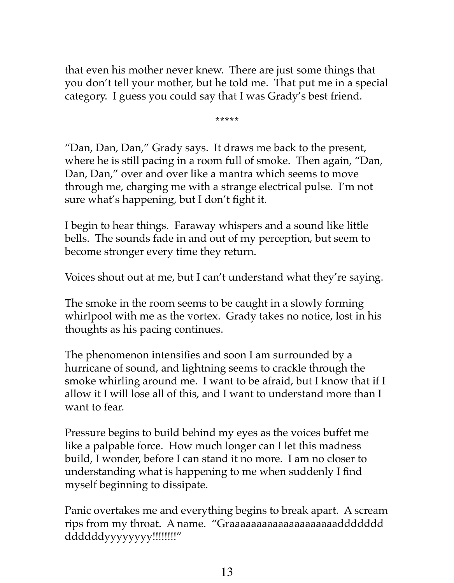that even his mother never knew. There are just some things that you don't tell your mother, but he told me. That put me in a special category. I guess you could say that I was Grady's best friend.

**\*\*\*\*\***

"Dan, Dan, Dan," Grady says. It draws me back to the present, where he is still pacing in a room full of smoke. Then again, "Dan, Dan, Dan," over and over like a mantra which seems to move through me, charging me with a strange electrical pulse. I'm not sure what's happening, but I don't fight it.

I begin to hear things. Faraway whispers and a sound like little bells. The sounds fade in and out of my perception, but seem to become stronger every time they return.

Voices shout out at me, but I can't understand what they're saying.

The smoke in the room seems to be caught in a slowly forming whirlpool with me as the vortex. Grady takes no notice, lost in his thoughts as his pacing continues.

The phenomenon intensifies and soon I am surrounded by a hurricane of sound, and lightning seems to crackle through the smoke whirling around me. I want to be afraid, but I know that if I allow it I will lose all of this, and I want to understand more than I want to fear.

Pressure begins to build behind my eyes as the voices buffet me like a palpable force. How much longer can I let this madness build, I wonder, before I can stand it no more. I am no closer to understanding what is happening to me when suddenly I find myself beginning to dissipate.

Panic overtakes me and everything begins to break apart. A scream rips from my throat. A name. "Graaaaaaaaaaaaaaaaaaaaddddddd ddddddyyyyyyyy!!!!!!!!"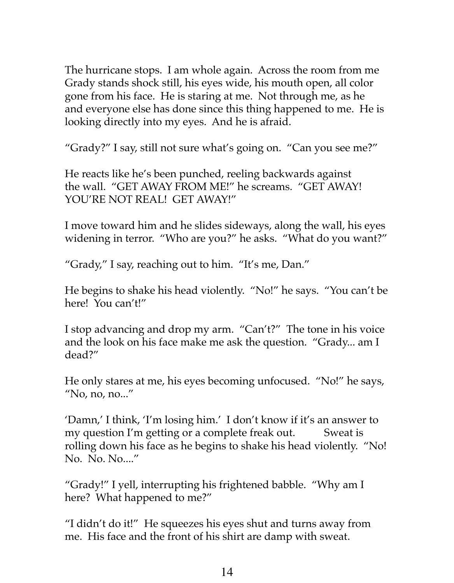The hurricane stops. I am whole again. Across the room from me Grady stands shock still, his eyes wide, his mouth open, all color gone from his face. He is staring at me. Not through me, as he and everyone else has done since this thing happened to me. He is looking directly into my eyes. And he is afraid.

"Grady?" I say, still not sure what's going on. "Can you see me?"

He reacts like he's been punched, reeling backwards against the wall. "GET AWAY FROM ME!" he screams. "GET AWAY! YOU'RE NOT REAL! GET AWAY!"

I move toward him and he slides sideways, along the wall, his eyes widening in terror. "Who are you?" he asks. "What do you want?"

"Grady," I say, reaching out to him. "It's me, Dan."

He begins to shake his head violently. "No!" he says. "You can't be here! You can't!"

I stop advancing and drop my arm. "Can't?" The tone in his voice and the look on his face make me ask the question. "Grady... am I dead?"

He only stares at me, his eyes becoming unfocused. "No!" he says, "No, no, no..."

'Damn,' I think, 'I'm losing him.' I don't know if it's an answer to my question I'm getting or a complete freak out. Sweat is rolling down his face as he begins to shake his head violently. "No! No. No. No...."

"Grady!" I yell, interrupting his frightened babble. "Why am I here? What happened to me?"

"I didn't do it!" He squeezes his eyes shut and turns away from me. His face and the front of his shirt are damp with sweat.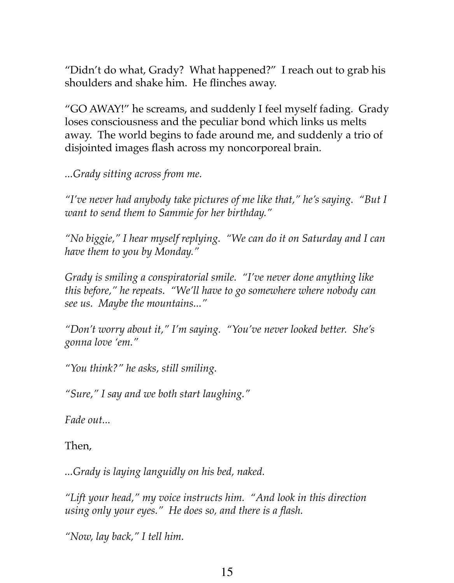"Didn't do what, Grady? What happened?" I reach out to grab his shoulders and shake him. He flinches away.

"GO AWAY!" he screams, and suddenly I feel myself fading. Grady loses consciousness and the peculiar bond which links us melts away. The world begins to fade around me, and suddenly a trio of disjointed images flash across my noncorporeal brain.

*...Grady sitting across from me.* 

*"I've never had anybody take pictures of me like that," he's saying. "But I want to send them to Sammie for her birthday."* 

*"No biggie," I hear myself replying. "We can do it on Saturday and I can have them to you by Monday."* 

*Grady is smiling a conspiratorial smile. "I've never done anything like this before," he repeats. "We'll have to go somewhere where nobody can see us. Maybe the mountains..."* 

*"Don't worry about it," I'm saying. "You've never looked better. She's gonna love 'em."* 

*"You think?" he asks, still smiling.* 

*"Sure," I say and we both start laughing."* 

*Fade out...*

Then,

*...Grady is laying languidly on his bed, naked.* 

*"Lift your head," my voice instructs him. "And look in this direction using only your eyes." He does so, and there is a flash.* 

*"Now, lay back," I tell him.*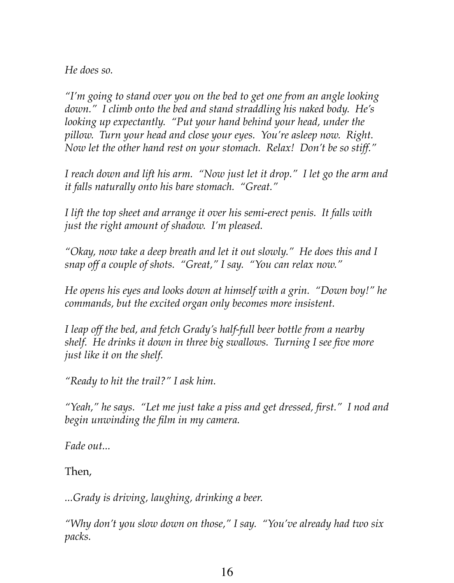*He does so.* 

*"I'm going to stand over you on the bed to get one from an angle looking down." I climb onto the bed and stand straddling his naked body. He's looking up expectantly. "Put your hand behind your head, under the pillow. Turn your head and close your eyes. You're asleep now. Right. Now let the other hand rest on your stomach. Relax! Don't be so stiff."* 

*I reach down and lift his arm. "Now just let it drop." I let go the arm and it falls naturally onto his bare stomach. "Great."* 

*I lift the top sheet and arrange it over his semi-erect penis. It falls with just the right amount of shadow. I'm pleased.* 

*"Okay, now take a deep breath and let it out slowly." He does this and I snap off a couple of shots. "Great," I say. "You can relax now."* 

*He opens his eyes and looks down at himself with a grin. "Down boy!" he commands, but the excited organ only becomes more insistent.* 

*I leap off the bed, and fetch Grady's half-full beer bottle from a nearby shelf. He drinks it down in three big swallows. Turning I see five more just like it on the shelf.* 

*"Ready to hit the trail?" I ask him.* 

*"Yeah," he says. "Let me just take a piss and get dressed, first." I nod and begin unwinding the film in my camera.* 

*Fade out...*

Then,

*...Grady is driving, laughing, drinking a beer.* 

*"Why don't you slow down on those," I say. "You've already had two six packs.*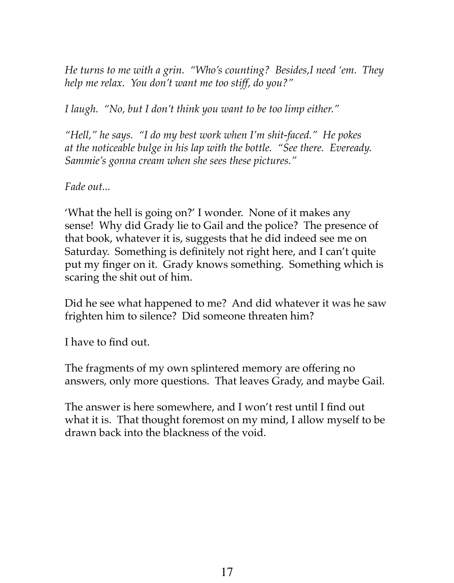*He turns to me with a grin. "Who's counting? Besides,I need 'em. They help me relax. You don't want me too stiff, do you?"* 

*I laugh. "No, but I don't think you want to be too limp either."* 

*"Hell," he says. "I do my best work when I'm shit-faced." He pokes at the noticeable bulge in his lap with the bottle. "See there. Eveready. Sammie's gonna cream when she sees these pictures."* 

*Fade out...*

'What the hell is going on?' I wonder. None of it makes any sense! Why did Grady lie to Gail and the police? The presence of that book, whatever it is, suggests that he did indeed see me on Saturday. Something is definitely not right here, and I can't quite put my finger on it. Grady knows something. Something which is scaring the shit out of him.

Did he see what happened to me? And did whatever it was he saw frighten him to silence? Did someone threaten him?

I have to find out.

The fragments of my own splintered memory are offering no answers, only more questions. That leaves Grady, and maybe Gail.

The answer is here somewhere, and I won't rest until I find out what it is. That thought foremost on my mind, I allow myself to be drawn back into the blackness of the void.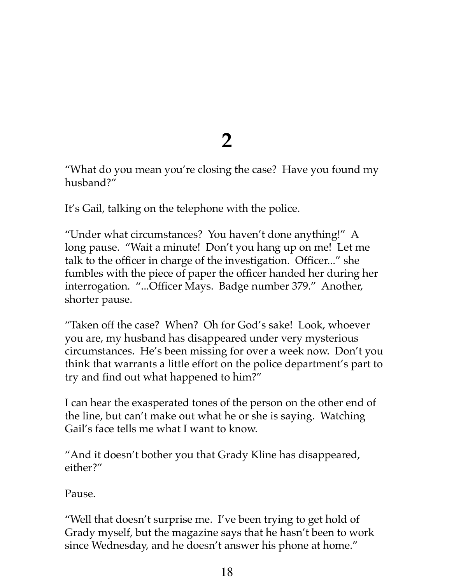**2**

"What do you mean you're closing the case? Have you found my husband?"

It's Gail, talking on the telephone with the police.

"Under what circumstances? You haven't done anything!" A long pause. "Wait a minute! Don't you hang up on me! Let me talk to the officer in charge of the investigation. Officer..." she fumbles with the piece of paper the officer handed her during her interrogation. "...Officer Mays. Badge number 379." Another, shorter pause.

"Taken off the case? When? Oh for God's sake! Look, whoever you are, my husband has disappeared under very mysterious circumstances. He's been missing for over a week now. Don't you think that warrants a little effort on the police department's part to try and find out what happened to him?"

I can hear the exasperated tones of the person on the other end of the line, but can't make out what he or she is saying. Watching Gail's face tells me what I want to know.

"And it doesn't bother you that Grady Kline has disappeared, either?"

Pause.

"Well that doesn't surprise me. I've been trying to get hold of Grady myself, but the magazine says that he hasn't been to work since Wednesday, and he doesn't answer his phone at home."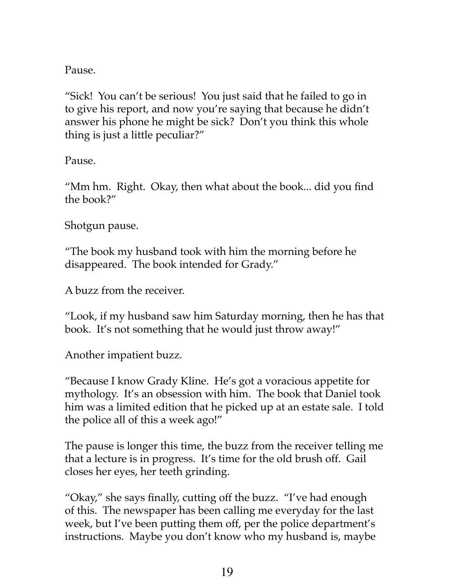Pause.

"Sick! You can't be serious! You just said that he failed to go in to give his report, and now you're saying that because he didn't answer his phone he might be sick? Don't you think this whole thing is just a little peculiar?"

Pause.

"Mm hm. Right. Okay, then what about the book... did you find the book?"

Shotgun pause.

"The book my husband took with him the morning before he disappeared. The book intended for Grady."

A buzz from the receiver.

"Look, if my husband saw him Saturday morning, then he has that book. It's not something that he would just throw away!"

Another impatient buzz.

"Because I know Grady Kline. He's got a voracious appetite for mythology. It's an obsession with him. The book that Daniel took him was a limited edition that he picked up at an estate sale. I told the police all of this a week ago!"

The pause is longer this time, the buzz from the receiver telling me that a lecture is in progress. It's time for the old brush off. Gail closes her eyes, her teeth grinding.

"Okay," she says finally, cutting off the buzz. "I've had enough of this. The newspaper has been calling me everyday for the last week, but I've been putting them off, per the police department's instructions. Maybe you don't know who my husband is, maybe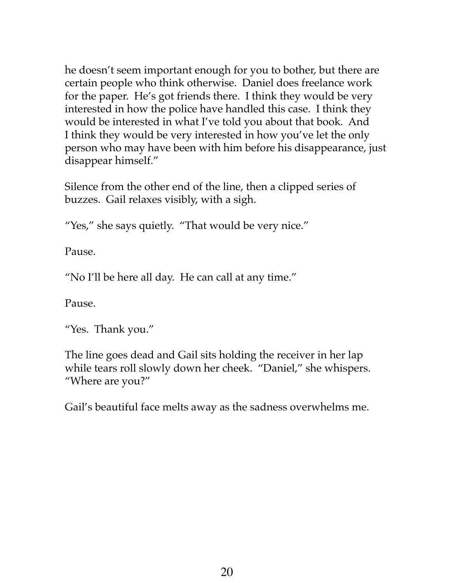he doesn't seem important enough for you to bother, but there are certain people who think otherwise. Daniel does freelance work for the paper. He's got friends there. I think they would be very interested in how the police have handled this case. I think they would be interested in what I've told you about that book. And I think they would be very interested in how you've let the only person who may have been with him before his disappearance, just disappear himself."

Silence from the other end of the line, then a clipped series of buzzes. Gail relaxes visibly, with a sigh.

"Yes," she says quietly. "That would be very nice."

Pause.

"No I'll be here all day. He can call at any time."

Pause.

"Yes. Thank you."

The line goes dead and Gail sits holding the receiver in her lap while tears roll slowly down her cheek. "Daniel," she whispers. "Where are you?"

Gail's beautiful face melts away as the sadness overwhelms me.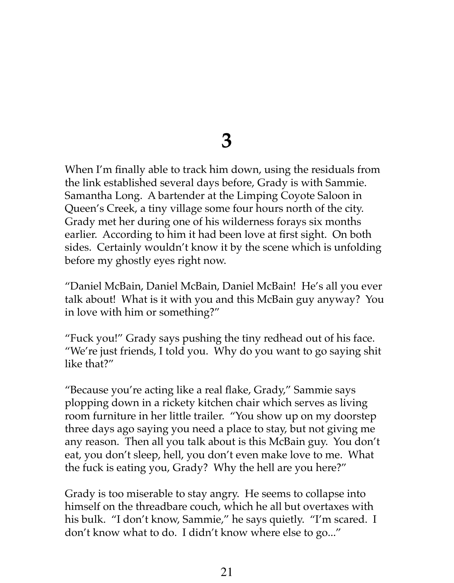#### **3**

When I'm finally able to track him down, using the residuals from the link established several days before, Grady is with Sammie. Samantha Long. A bartender at the Limping Coyote Saloon in Queen's Creek, a tiny village some four hours north of the city. Grady met her during one of his wilderness forays six months earlier. According to him it had been love at first sight. On both sides. Certainly wouldn't know it by the scene which is unfolding before my ghostly eyes right now.

"Daniel McBain, Daniel McBain, Daniel McBain! He's all you ever talk about! What is it with you and this McBain guy anyway? You in love with him or something?"

"Fuck you!" Grady says pushing the tiny redhead out of his face. "We're just friends, I told you. Why do you want to go saying shit like that?"

"Because you're acting like a real flake, Grady," Sammie says plopping down in a rickety kitchen chair which serves as living room furniture in her little trailer. "You show up on my doorstep three days ago saying you need a place to stay, but not giving me any reason. Then all you talk about is this McBain guy. You don't eat, you don't sleep, hell, you don't even make love to me. What the fuck is eating you, Grady? Why the hell are you here?"

Grady is too miserable to stay angry. He seems to collapse into himself on the threadbare couch, which he all but overtaxes with his bulk. "I don't know, Sammie," he says quietly. "I'm scared. I don't know what to do. I didn't know where else to go..."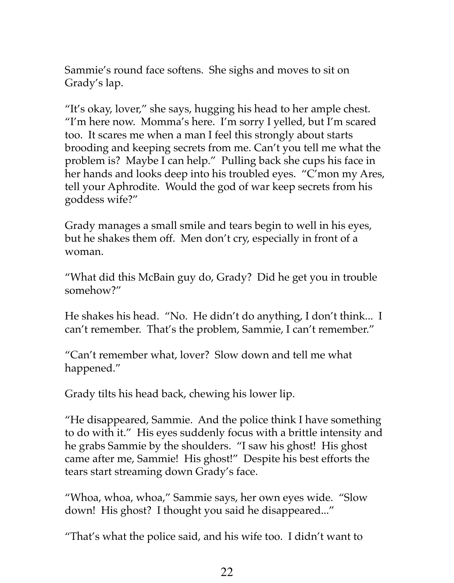Sammie's round face softens. She sighs and moves to sit on Grady's lap.

"It's okay, lover," she says, hugging his head to her ample chest. "I'm here now. Momma's here. I'm sorry I yelled, but I'm scared too. It scares me when a man I feel this strongly about starts brooding and keeping secrets from me. Can't you tell me what the problem is? Maybe I can help." Pulling back she cups his face in her hands and looks deep into his troubled eyes. "C'mon my Ares, tell your Aphrodite. Would the god of war keep secrets from his goddess wife?"

Grady manages a small smile and tears begin to well in his eyes, but he shakes them off. Men don't cry, especially in front of a woman.

"What did this McBain guy do, Grady? Did he get you in trouble somehow?"

He shakes his head. "No. He didn't do anything, I don't think... I can't remember. That's the problem, Sammie, I can't remember."

"Can't remember what, lover? Slow down and tell me what happened."

Grady tilts his head back, chewing his lower lip.

"He disappeared, Sammie. And the police think I have something to do with it." His eyes suddenly focus with a brittle intensity and he grabs Sammie by the shoulders. "I saw his ghost! His ghost came after me, Sammie! His ghost!" Despite his best efforts the tears start streaming down Grady's face.

"Whoa, whoa, whoa," Sammie says, her own eyes wide. "Slow down! His ghost? I thought you said he disappeared..."

"That's what the police said, and his wife too. I didn't want to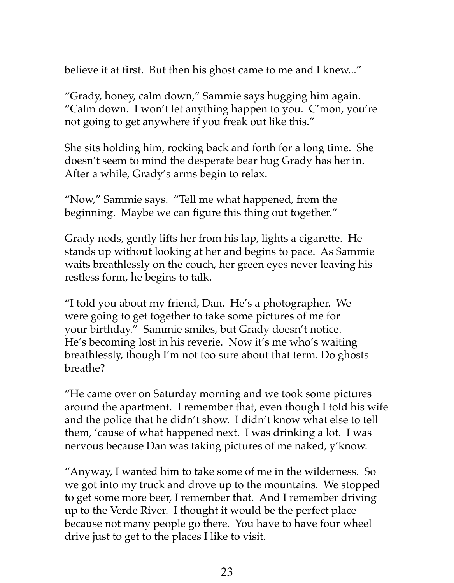believe it at first. But then his ghost came to me and I knew..."

"Grady, honey, calm down," Sammie says hugging him again. "Calm down. I won't let anything happen to you. C'mon, you're not going to get anywhere if you freak out like this."

She sits holding him, rocking back and forth for a long time. She doesn't seem to mind the desperate bear hug Grady has her in. After a while, Grady's arms begin to relax.

"Now," Sammie says. "Tell me what happened, from the beginning. Maybe we can figure this thing out together."

Grady nods, gently lifts her from his lap, lights a cigarette. He stands up without looking at her and begins to pace. As Sammie waits breathlessly on the couch, her green eyes never leaving his restless form, he begins to talk.

"I told you about my friend, Dan. He's a photographer. We were going to get together to take some pictures of me for your birthday." Sammie smiles, but Grady doesn't notice. He's becoming lost in his reverie. Now it's me who's waiting breathlessly, though I'm not too sure about that term. Do ghosts breathe?

"He came over on Saturday morning and we took some pictures around the apartment. I remember that, even though I told his wife and the police that he didn't show. I didn't know what else to tell them, 'cause of what happened next. I was drinking a lot. I was nervous because Dan was taking pictures of me naked, y'know.

"Anyway, I wanted him to take some of me in the wilderness. So we got into my truck and drove up to the mountains. We stopped to get some more beer, I remember that. And I remember driving up to the Verde River. I thought it would be the perfect place because not many people go there. You have to have four wheel drive just to get to the places I like to visit.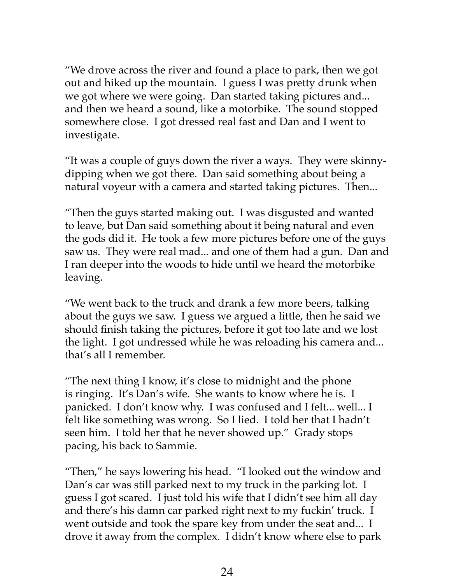"We drove across the river and found a place to park, then we got out and hiked up the mountain. I guess I was pretty drunk when we got where we were going. Dan started taking pictures and... and then we heard a sound, like a motorbike. The sound stopped somewhere close. I got dressed real fast and Dan and I went to investigate.

"It was a couple of guys down the river a ways. They were skinnydipping when we got there. Dan said something about being a natural voyeur with a camera and started taking pictures. Then...

"Then the guys started making out. I was disgusted and wanted to leave, but Dan said something about it being natural and even the gods did it. He took a few more pictures before one of the guys saw us. They were real mad... and one of them had a gun. Dan and I ran deeper into the woods to hide until we heard the motorbike leaving.

"We went back to the truck and drank a few more beers, talking about the guys we saw. I guess we argued a little, then he said we should finish taking the pictures, before it got too late and we lost the light. I got undressed while he was reloading his camera and... that's all I remember.

"The next thing I know, it's close to midnight and the phone is ringing. It's Dan's wife. She wants to know where he is. I panicked. I don't know why. I was confused and I felt... well... I felt like something was wrong. So I lied. I told her that I hadn't seen him. I told her that he never showed up." Grady stops pacing, his back to Sammie.

"Then," he says lowering his head. "I looked out the window and Dan's car was still parked next to my truck in the parking lot. I guess I got scared. I just told his wife that I didn't see him all day and there's his damn car parked right next to my fuckin' truck. I went outside and took the spare key from under the seat and... I drove it away from the complex. I didn't know where else to park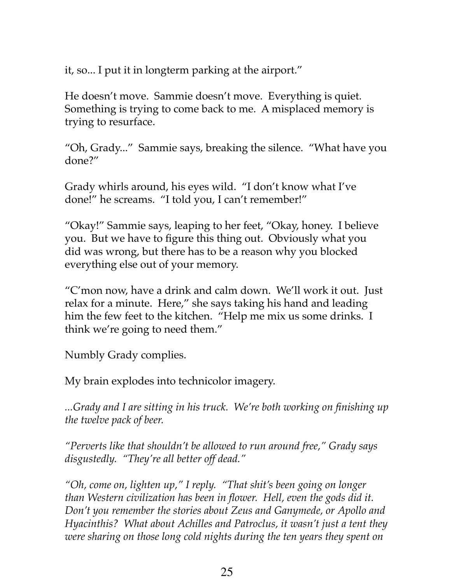it, so... I put it in longterm parking at the airport."

He doesn't move. Sammie doesn't move. Everything is quiet. Something is trying to come back to me. A misplaced memory is trying to resurface.

"Oh, Grady..." Sammie says, breaking the silence. "What have you done?"

Grady whirls around, his eyes wild. "I don't know what I've done!" he screams. "I told you, I can't remember!"

"Okay!" Sammie says, leaping to her feet, "Okay, honey. I believe you. But we have to figure this thing out. Obviously what you did was wrong, but there has to be a reason why you blocked everything else out of your memory.

"C'mon now, have a drink and calm down. We'll work it out. Just relax for a minute. Here," she says taking his hand and leading him the few feet to the kitchen. "Help me mix us some drinks. I think we're going to need them."

Numbly Grady complies.

My brain explodes into technicolor imagery.

*...Grady and I are sitting in his truck. We're both working on finishing up the twelve pack of beer.* 

*"Perverts like that shouldn't be allowed to run around free," Grady says disgustedly. "They're all better off dead."* 

*"Oh, come on, lighten up," I reply. "That shit's been going on longer than Western civilization has been in flower. Hell, even the gods did it. Don't you remember the stories about Zeus and Ganymede, or Apollo and Hyacinthis? What about Achilles and Patroclus, it wasn't just a tent they were sharing on those long cold nights during the ten years they spent on*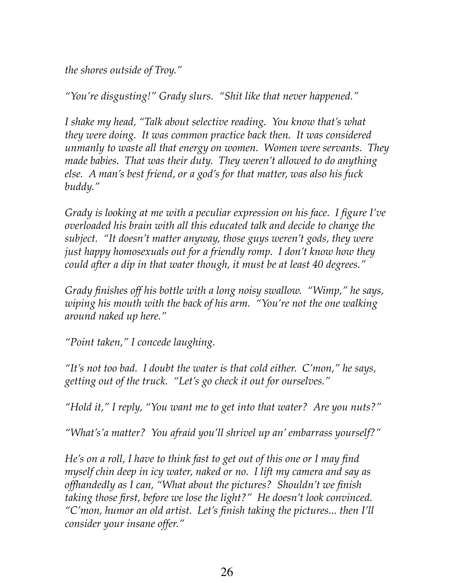*the shores outside of Troy."* 

*"You're disgusting!" Grady slurs. "Shit like that never happened."* 

*I shake my head, "Talk about selective reading. You know that's what they were doing. It was common practice back then. It was considered unmanly to waste all that energy on women. Women were servants. They made babies. That was their duty. They weren't allowed to do anything else. A man's best friend, or a god's for that matter, was also his fuck buddy."* 

*Grady is looking at me with a peculiar expression on his face. I figure I've overloaded his brain with all this educated talk and decide to change the subject. "It doesn't matter anyway, those guys weren't gods, they were just happy homosexuals out for a friendly romp. I don't know how they could after a dip in that water though, it must be at least 40 degrees."* 

*Grady finishes off his bottle with a long noisy swallow. "Wimp," he says, wiping his mouth with the back of his arm. "You're not the one walking around naked up here."* 

*"Point taken," I concede laughing.* 

*"It's not too bad. I doubt the water is that cold either. C'mon," he says, getting out of the truck. "Let's go check it out for ourselves."* 

*"Hold it," I reply, "You want me to get into that water? Are you nuts?"*

*"What's'a matter? You afraid you'll shrivel up an' embarrass yourself?"*

*He's on a roll, I have to think fast to get out of this one or I may find myself chin deep in icy water, naked or no. I lift my camera and say as offhandedly as I can, "What about the pictures? Shouldn't we finish taking those first, before we lose the light?" He doesn't look convinced. "C'mon, humor an old artist. Let's finish taking the pictures... then I'll consider your insane offer."*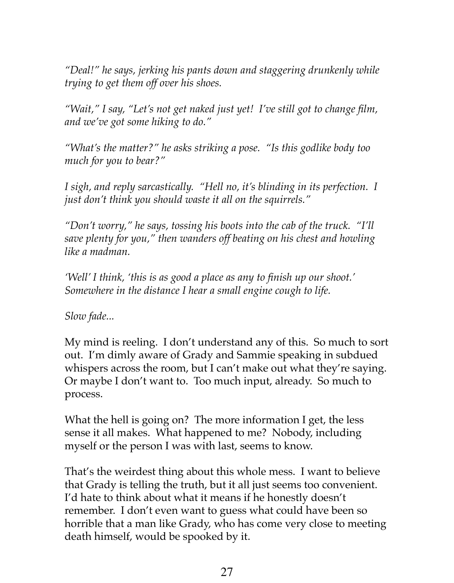*"Deal!" he says, jerking his pants down and staggering drunkenly while trying to get them off over his shoes.* 

*"Wait," I say, "Let's not get naked just yet! I've still got to change film, and we've got some hiking to do."* 

*"What's the matter?" he asks striking a pose. "Is this godlike body too much for you to bear?"* 

*I* sigh, and reply sarcastically. "Hell no, it's blinding in its perfection. I *just don't think you should waste it all on the squirrels."* 

*"Don't worry," he says, tossing his boots into the cab of the truck. "I'll save plenty for you," then wanders off beating on his chest and howling like a madman.* 

*'Well' I think, 'this is as good a place as any to finish up our shoot.' Somewhere in the distance I hear a small engine cough to life.* 

*Slow fade...*

My mind is reeling. I don't understand any of this. So much to sort out. I'm dimly aware of Grady and Sammie speaking in subdued whispers across the room, but I can't make out what they're saying. Or maybe I don't want to. Too much input, already. So much to process.

What the hell is going on? The more information I get, the less sense it all makes. What happened to me? Nobody, including myself or the person I was with last, seems to know.

That's the weirdest thing about this whole mess. I want to believe that Grady is telling the truth, but it all just seems too convenient. I'd hate to think about what it means if he honestly doesn't remember. I don't even want to guess what could have been so horrible that a man like Grady, who has come very close to meeting death himself, would be spooked by it.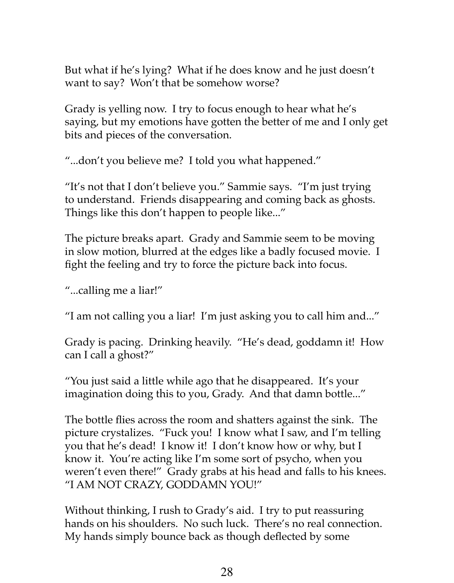But what if he's lying? What if he does know and he just doesn't want to say? Won't that be somehow worse?

Grady is yelling now. I try to focus enough to hear what he's saying, but my emotions have gotten the better of me and I only get bits and pieces of the conversation.

"...don't you believe me? I told you what happened."

"It's not that I don't believe you." Sammie says. "I'm just trying to understand. Friends disappearing and coming back as ghosts. Things like this don't happen to people like..."

The picture breaks apart. Grady and Sammie seem to be moving in slow motion, blurred at the edges like a badly focused movie. I fight the feeling and try to force the picture back into focus.

"...calling me a liar!"

"I am not calling you a liar! I'm just asking you to call him and..."

Grady is pacing. Drinking heavily. "He's dead, goddamn it! How can I call a ghost?"

"You just said a little while ago that he disappeared. It's your imagination doing this to you, Grady. And that damn bottle..."

The bottle flies across the room and shatters against the sink. The picture crystalizes. "Fuck you! I know what I saw, and I'm telling you that he's dead! I know it! I don't know how or why, but I know it. You're acting like I'm some sort of psycho, when you weren't even there!" Grady grabs at his head and falls to his knees. "I AM NOT CRAZY, GODDAMN YOU!"

Without thinking, I rush to Grady's aid. I try to put reassuring hands on his shoulders. No such luck. There's no real connection. My hands simply bounce back as though deflected by some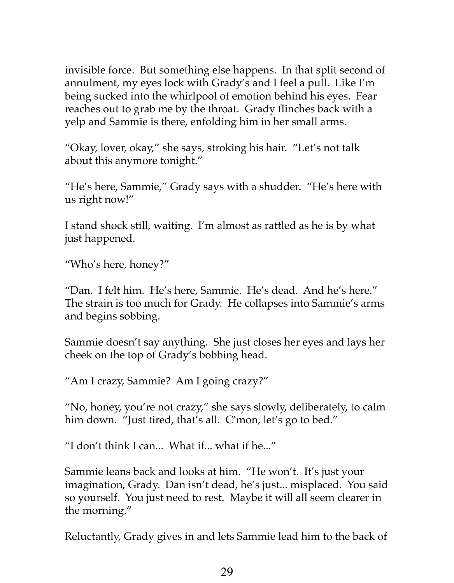invisible force. But something else happens. In that split second of annulment, my eyes lock with Grady's and I feel a pull. Like I'm being sucked into the whirlpool of emotion behind his eyes. Fear reaches out to grab me by the throat. Grady flinches back with a yelp and Sammie is there, enfolding him in her small arms.

"Okay, lover, okay," she says, stroking his hair. "Let's not talk about this anymore tonight."

"He's here, Sammie," Grady says with a shudder. "He's here with us right now!"

I stand shock still, waiting. I'm almost as rattled as he is by what just happened.

"Who's here, honey?"

"Dan. I felt him. He's here, Sammie. He's dead. And he's here." The strain is too much for Grady. He collapses into Sammie's arms and begins sobbing.

Sammie doesn't say anything. She just closes her eyes and lays her cheek on the top of Grady's bobbing head.

"Am I crazy, Sammie? Am I going crazy?"

"No, honey, you're not crazy," she says slowly, deliberately, to calm him down. "Just tired, that's all. C'mon, let's go to bed."

"I don't think I can... What if... what if he..."

Sammie leans back and looks at him. "He won't. It's just your imagination, Grady. Dan isn't dead, he's just... misplaced. You said so yourself. You just need to rest. Maybe it will all seem clearer in the morning."

Reluctantly, Grady gives in and lets Sammie lead him to the back of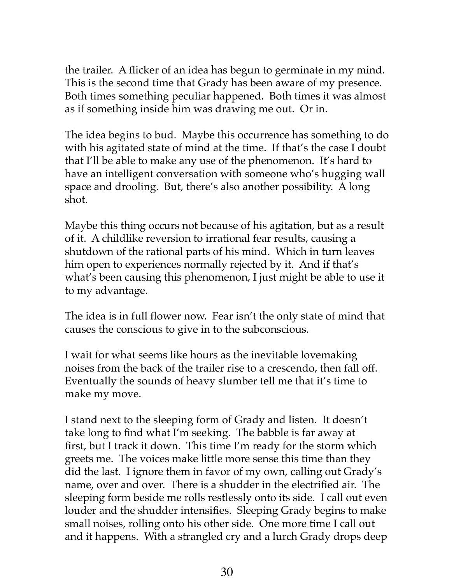the trailer. A flicker of an idea has begun to germinate in my mind. This is the second time that Grady has been aware of my presence. Both times something peculiar happened. Both times it was almost as if something inside him was drawing me out. Or in.

The idea begins to bud. Maybe this occurrence has something to do with his agitated state of mind at the time. If that's the case I doubt that I'll be able to make any use of the phenomenon. It's hard to have an intelligent conversation with someone who's hugging wall space and drooling. But, there's also another possibility. A long shot.

Maybe this thing occurs not because of his agitation, but as a result of it. A childlike reversion to irrational fear results, causing a shutdown of the rational parts of his mind. Which in turn leaves him open to experiences normally rejected by it. And if that's what's been causing this phenomenon, I just might be able to use it to my advantage.

The idea is in full flower now. Fear isn't the only state of mind that causes the conscious to give in to the subconscious.

I wait for what seems like hours as the inevitable lovemaking noises from the back of the trailer rise to a crescendo, then fall off. Eventually the sounds of heavy slumber tell me that it's time to make my move.

I stand next to the sleeping form of Grady and listen. It doesn't take long to find what I'm seeking. The babble is far away at first, but I track it down. This time I'm ready for the storm which greets me. The voices make little more sense this time than they did the last. I ignore them in favor of my own, calling out Grady's name, over and over. There is a shudder in the electrified air. The sleeping form beside me rolls restlessly onto its side. I call out even louder and the shudder intensifies. Sleeping Grady begins to make small noises, rolling onto his other side. One more time I call out and it happens. With a strangled cry and a lurch Grady drops deep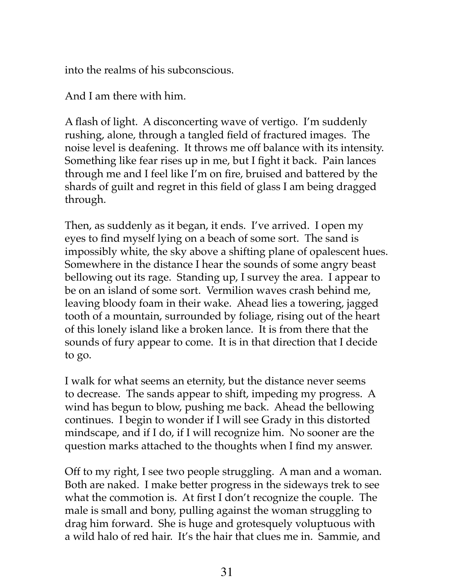into the realms of his subconscious.

And I am there with him.

A flash of light. A disconcerting wave of vertigo. I'm suddenly rushing, alone, through a tangled field of fractured images. The noise level is deafening. It throws me off balance with its intensity. Something like fear rises up in me, but I fight it back. Pain lances through me and I feel like I'm on fire, bruised and battered by the shards of guilt and regret in this field of glass I am being dragged through.

Then, as suddenly as it began, it ends. I've arrived. I open my eyes to find myself lying on a beach of some sort. The sand is impossibly white, the sky above a shifting plane of opalescent hues. Somewhere in the distance I hear the sounds of some angry beast bellowing out its rage. Standing up, I survey the area. I appear to be on an island of some sort. Vermilion waves crash behind me, leaving bloody foam in their wake. Ahead lies a towering, jagged tooth of a mountain, surrounded by foliage, rising out of the heart of this lonely island like a broken lance. It is from there that the sounds of fury appear to come. It is in that direction that I decide to go.

I walk for what seems an eternity, but the distance never seems to decrease. The sands appear to shift, impeding my progress. A wind has begun to blow, pushing me back. Ahead the bellowing continues. I begin to wonder if I will see Grady in this distorted mindscape, and if I do, if I will recognize him. No sooner are the question marks attached to the thoughts when I find my answer.

Off to my right, I see two people struggling. A man and a woman. Both are naked. I make better progress in the sideways trek to see what the commotion is. At first I don't recognize the couple. The male is small and bony, pulling against the woman struggling to drag him forward. She is huge and grotesquely voluptuous with a wild halo of red hair. It's the hair that clues me in. Sammie, and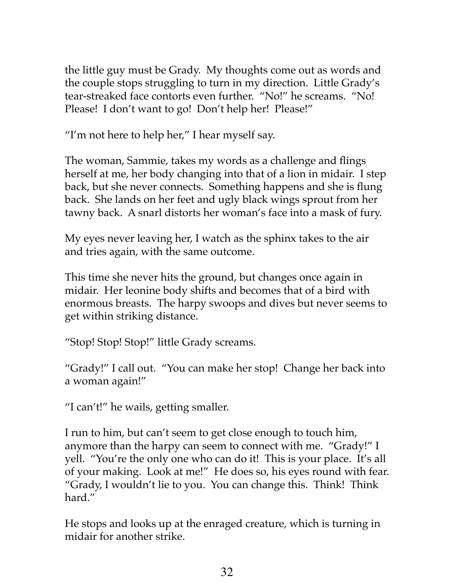the little guy must be Grady. My thoughts come out as words and the couple stops struggling to turn in my direction. Little Grady's tear-streaked face contorts even further. "No!" he screams. "No! Please! I don't want to go! Don't help her! Please!"

"I'm not here to help her," I hear myself say.

The woman, Sammie, takes my words as a challenge and flings herself at me, her body changing into that of a lion in midair. I step back, but she never connects. Something happens and she is flung back. She lands on her feet and ugly black wings sprout from her tawny back. A snarl distorts her woman's face into a mask of fury.

My eyes never leaving her, I watch as the sphinx takes to the air and tries again, with the same outcome.

This time she never hits the ground, but changes once again in midair. Her leonine body shifts and becomes that of a bird with enormous breasts. The harpy swoops and dives but never seems to get within striking distance.

"Stop! Stop! Stop!" little Grady screams.

"Grady!" I call out. "You can make her stop! Change her back into a woman again!"

"I can't!" he wails, getting smaller.

I run to him, but can't seem to get close enough to touch him, anymore than the harpy can seem to connect with me. "Grady!" I yell. "You're the only one who can do it! This is your place. It's all of your making. Look at me!" He does so, his eyes round with fear. "Grady, I wouldn't lie to you. You can change this. Think! Think hard."

He stops and looks up at the enraged creature, which is turning in midair for another strike.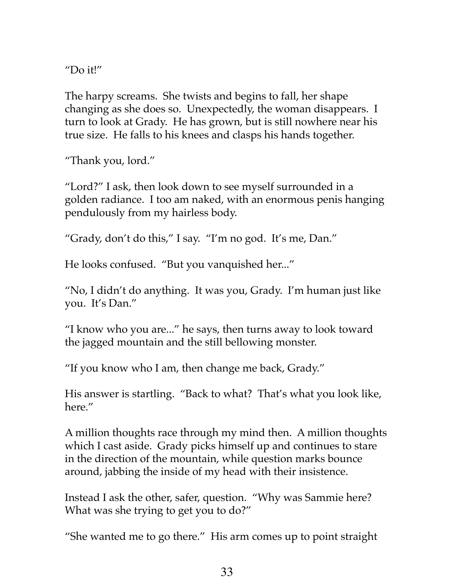"Do it!"

The harpy screams. She twists and begins to fall, her shape changing as she does so. Unexpectedly, the woman disappears. I turn to look at Grady. He has grown, but is still nowhere near his true size. He falls to his knees and clasps his hands together.

"Thank you, lord."

"Lord?" I ask, then look down to see myself surrounded in a golden radiance. I too am naked, with an enormous penis hanging pendulously from my hairless body.

"Grady, don't do this," I say. "I'm no god. It's me, Dan."

He looks confused. "But you vanquished her..."

"No, I didn't do anything. It was you, Grady. I'm human just like you. It's Dan."

"I know who you are..." he says, then turns away to look toward the jagged mountain and the still bellowing monster.

"If you know who I am, then change me back, Grady."

His answer is startling. "Back to what? That's what you look like, here."

A million thoughts race through my mind then. A million thoughts which I cast aside. Grady picks himself up and continues to stare in the direction of the mountain, while question marks bounce around, jabbing the inside of my head with their insistence.

Instead I ask the other, safer, question. "Why was Sammie here? What was she trying to get you to do?"

"She wanted me to go there." His arm comes up to point straight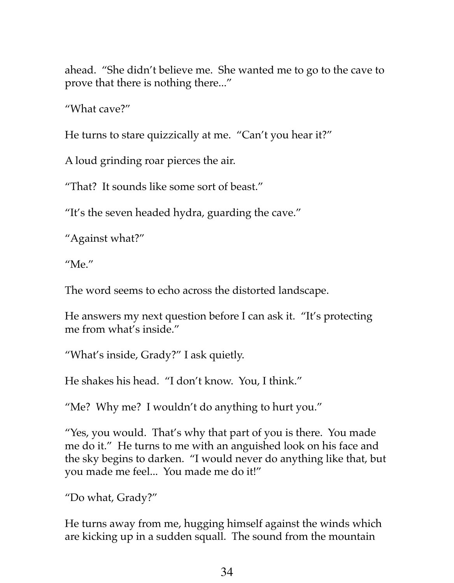ahead. "She didn't believe me. She wanted me to go to the cave to prove that there is nothing there..."

"What cave?"

He turns to stare quizzically at me. "Can't you hear it?"

A loud grinding roar pierces the air.

"That? It sounds like some sort of beast."

"It's the seven headed hydra, guarding the cave."

"Against what?"

"Me."

The word seems to echo across the distorted landscape.

He answers my next question before I can ask it. "It's protecting me from what's inside."

"What's inside, Grady?" I ask quietly.

He shakes his head. "I don't know. You, I think."

"Me? Why me? I wouldn't do anything to hurt you."

"Yes, you would. That's why that part of you is there. You made me do it." He turns to me with an anguished look on his face and the sky begins to darken. "I would never do anything like that, but you made me feel... You made me do it!"

"Do what, Grady?"

He turns away from me, hugging himself against the winds which are kicking up in a sudden squall. The sound from the mountain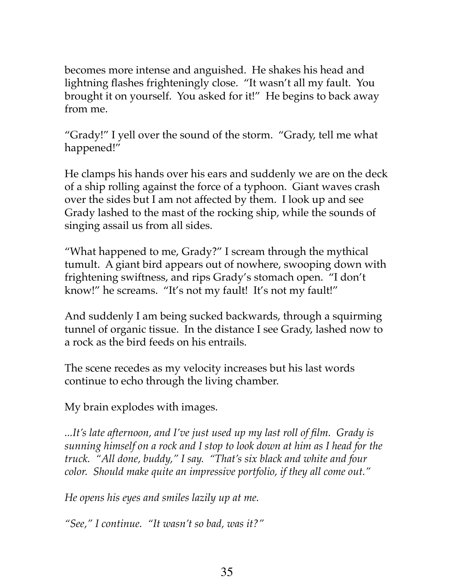becomes more intense and anguished. He shakes his head and lightning flashes frighteningly close. "It wasn't all my fault. You brought it on yourself. You asked for it!" He begins to back away from me.

"Grady!" I yell over the sound of the storm. "Grady, tell me what happened!"

He clamps his hands over his ears and suddenly we are on the deck of a ship rolling against the force of a typhoon. Giant waves crash over the sides but I am not affected by them. I look up and see Grady lashed to the mast of the rocking ship, while the sounds of singing assail us from all sides.

"What happened to me, Grady?" I scream through the mythical tumult. A giant bird appears out of nowhere, swooping down with frightening swiftness, and rips Grady's stomach open. "I don't know!" he screams. "It's not my fault! It's not my fault!"

And suddenly I am being sucked backwards, through a squirming tunnel of organic tissue. In the distance I see Grady, lashed now to a rock as the bird feeds on his entrails.

The scene recedes as my velocity increases but his last words continue to echo through the living chamber.

My brain explodes with images.

*...It's late afternoon, and I've just used up my last roll of film. Grady is sunning himself on a rock and I stop to look down at him as I head for the truck. "All done, buddy," I say. "That's six black and white and four color. Should make quite an impressive portfolio, if they all come out."* 

*He opens his eyes and smiles lazily up at me.* 

*"See," I continue. "It wasn't so bad, was it?"*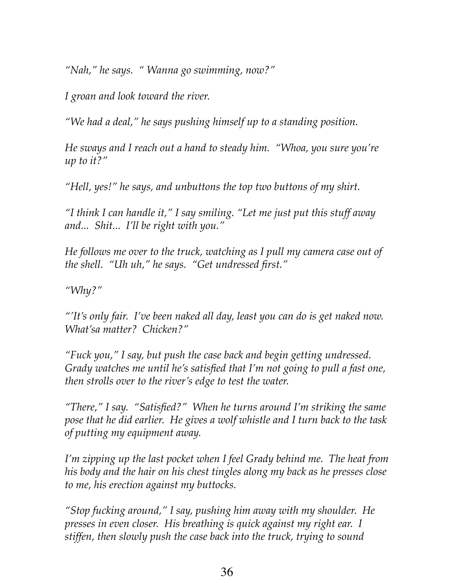*"Nah," he says. " Wanna go swimming, now?"* 

*I groan and look toward the river.*

*"We had a deal," he says pushing himself up to a standing position.* 

*He sways and I reach out a hand to steady him. "Whoa, you sure you're up to it?"* 

*"Hell, yes!" he says, and unbuttons the top two buttons of my shirt.* 

*"I think I can handle it," I say smiling. "Let me just put this stuff away and... Shit... I'll be right with you."* 

*He follows me over to the truck, watching as I pull my camera case out of the shell. "Uh uh," he says. "Get undressed first."* 

*"Why?"* 

*"'It's only fair. I've been naked all day, least you can do is get naked now. What'sa matter? Chicken?"* 

*"Fuck you," I say, but push the case back and begin getting undressed. Grady watches me until he's satisfied that I'm not going to pull a fast one, then strolls over to the river's edge to test the water.* 

*"There," I say. "Satisfied?" When he turns around I'm striking the same pose that he did earlier. He gives a wolf whistle and I turn back to the task of putting my equipment away.*

*I'm zipping up the last pocket when I feel Grady behind me. The heat from his body and the hair on his chest tingles along my back as he presses close to me, his erection against my buttocks.* 

*"Stop fucking around," I say, pushing him away with my shoulder. He presses in even closer. His breathing is quick against my right ear. I stiffen, then slowly push the case back into the truck, trying to sound*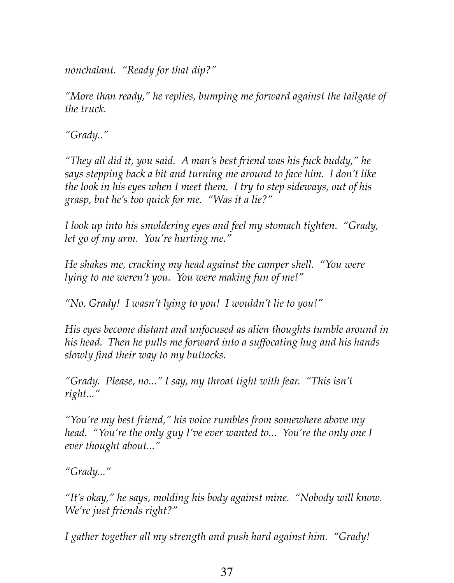*nonchalant. "Ready for that dip?"* 

*"More than ready," he replies, bumping me forward against the tailgate of the truck.*

*"Grady.."* 

*"They all did it, you said. A man's best friend was his fuck buddy," he says stepping back a bit and turning me around to face him. I don't like the look in his eyes when I meet them. I try to step sideways, out of his grasp, but he's too quick for me. "Was it a lie?"*

*I look up into his smoldering eyes and feel my stomach tighten. "Grady, let go of my arm. You're hurting me."*

*He shakes me, cracking my head against the camper shell. "You were lying to me weren't you. You were making fun of me!"*

*"No, Grady! I wasn't lying to you! I wouldn't lie to you!"*

*His eyes become distant and unfocused as alien thoughts tumble around in his head. Then he pulls me forward into a suffocating hug and his hands slowly find their way to my buttocks.*

*"Grady. Please, no..." I say, my throat tight with fear. "This isn't right..."*

*"You're my best friend," his voice rumbles from somewhere above my head.* "You're the only guy I've ever wanted to... You're the only one I *ever thought about..."*

*"Grady..."*

*"It's okay," he says, molding his body against mine. "Nobody will know. We're just friends right?"* 

*I gather together all my strength and push hard against him. "Grady!*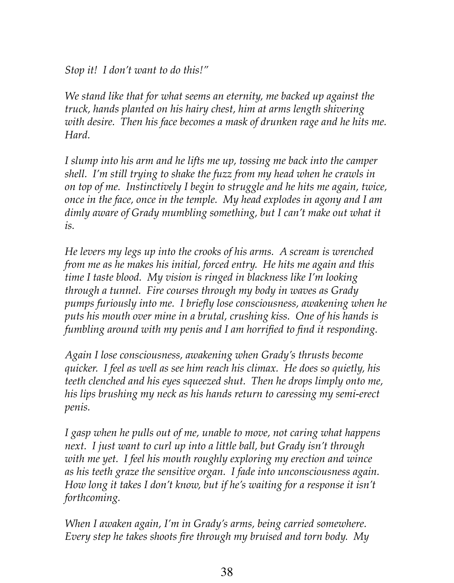*Stop it! I don't want to do this!"*

*We stand like that for what seems an eternity, me backed up against the truck, hands planted on his hairy chest, him at arms length shivering with desire. Then his face becomes a mask of drunken rage and he hits me. Hard.* 

*I slump into his arm and he lifts me up, tossing me back into the camper shell. I'm still trying to shake the fuzz from my head when he crawls in on top of me. Instinctively I begin to struggle and he hits me again, twice, once in the face, once in the temple. My head explodes in agony and I am dimly aware of Grady mumbling something, but I can't make out what it is.* 

*He levers my legs up into the crooks of his arms. A scream is wrenched from me as he makes his initial, forced entry. He hits me again and this time I taste blood. My vision is ringed in blackness like I'm looking through a tunnel. Fire courses through my body in waves as Grady pumps furiously into me. I briefly lose consciousness, awakening when he puts his mouth over mine in a brutal, crushing kiss. One of his hands is fumbling around with my penis and I am horrified to find it responding.* 

*Again I lose consciousness, awakening when Grady's thrusts become quicker. I feel as well as see him reach his climax. He does so quietly, his teeth clenched and his eyes squeezed shut. Then he drops limply onto me, his lips brushing my neck as his hands return to caressing my semi-erect penis.*

*I gasp when he pulls out of me, unable to move, not caring what happens next. I just want to curl up into a little ball, but Grady isn't through with me yet. I feel his mouth roughly exploring my erection and wince as his teeth graze the sensitive organ. I fade into unconsciousness again. How long it takes I don't know, but if he's waiting for a response it isn't forthcoming.* 

*When I awaken again, I'm in Grady's arms, being carried somewhere. Every step he takes shoots fire through my bruised and torn body. My*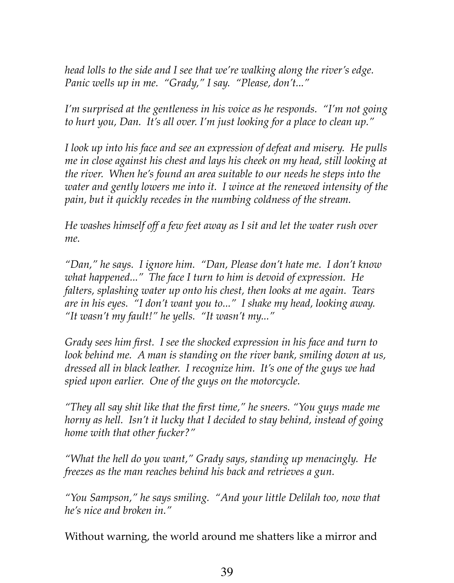*head lolls to the side and I see that we're walking along the river's edge. Panic wells up in me. "Grady," I say. "Please, don't..."*

*I'm surprised at the gentleness in his voice as he responds. "I'm not going to hurt you, Dan. It's all over. I'm just looking for a place to clean up."*

*I look up into his face and see an expression of defeat and misery. He pulls me in close against his chest and lays his cheek on my head, still looking at the river. When he's found an area suitable to our needs he steps into the water and gently lowers me into it. I wince at the renewed intensity of the pain, but it quickly recedes in the numbing coldness of the stream.*

*He washes himself off a few feet away as I sit and let the water rush over me.* 

*"Dan," he says. I ignore him. "Dan, Please don't hate me. I don't know what happened..." The face I turn to him is devoid of expression. He falters, splashing water up onto his chest, then looks at me again. Tears are in his eyes. "I don't want you to..." I shake my head, looking away. "It wasn't my fault!" he yells. "It wasn't my..."*

*Grady sees him first. I see the shocked expression in his face and turn to look behind me. A man is standing on the river bank, smiling down at us, dressed all in black leather. I recognize him. It's one of the guys we had spied upon earlier. One of the guys on the motorcycle.*

*"They all say shit like that the first time," he sneers. "You guys made me horny as hell. Isn't it lucky that I decided to stay behind, instead of going home with that other fucker?"*

*"What the hell do you want," Grady says, standing up menacingly. He freezes as the man reaches behind his back and retrieves a gun.*

*"You Sampson," he says smiling. "And your little Delilah too, now that he's nice and broken in."*

Without warning, the world around me shatters like a mirror and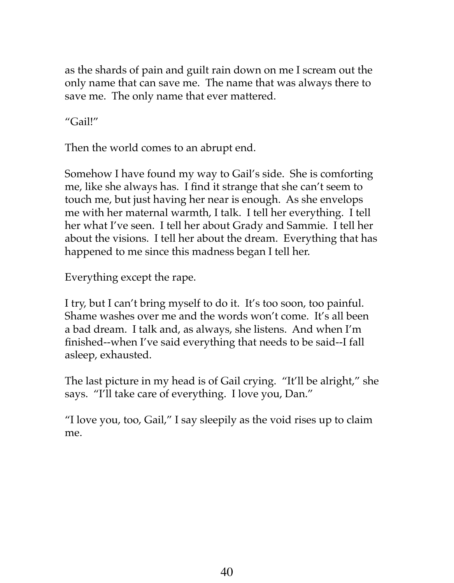as the shards of pain and guilt rain down on me I scream out the only name that can save me. The name that was always there to save me. The only name that ever mattered.

"Gail!"

Then the world comes to an abrupt end.

Somehow I have found my way to Gail's side. She is comforting me, like she always has. I find it strange that she can't seem to touch me, but just having her near is enough. As she envelops me with her maternal warmth, I talk. I tell her everything. I tell her what I've seen. I tell her about Grady and Sammie. I tell her about the visions. I tell her about the dream. Everything that has happened to me since this madness began I tell her.

Everything except the rape.

I try, but I can't bring myself to do it. It's too soon, too painful. Shame washes over me and the words won't come. It's all been a bad dream. I talk and, as always, she listens. And when I'm finished--when I've said everything that needs to be said--I fall asleep, exhausted.

The last picture in my head is of Gail crying. "It'll be alright," she says. "I'll take care of everything. I love you, Dan."

"I love you, too, Gail," I say sleepily as the void rises up to claim me.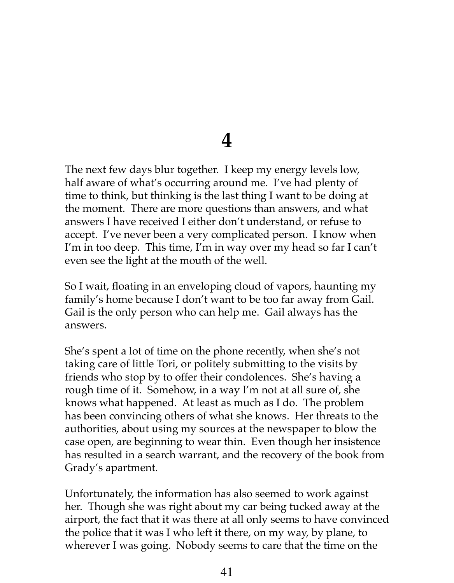#### **4**

The next few days blur together. I keep my energy levels low, half aware of what's occurring around me. I've had plenty of time to think, but thinking is the last thing I want to be doing at the moment. There are more questions than answers, and what answers I have received I either don't understand, or refuse to accept. I've never been a very complicated person. I know when I'm in too deep. This time, I'm in way over my head so far I can't even see the light at the mouth of the well.

So I wait, floating in an enveloping cloud of vapors, haunting my family's home because I don't want to be too far away from Gail. Gail is the only person who can help me. Gail always has the answers.

She's spent a lot of time on the phone recently, when she's not taking care of little Tori, or politely submitting to the visits by friends who stop by to offer their condolences. She's having a rough time of it. Somehow, in a way I'm not at all sure of, she knows what happened. At least as much as I do. The problem has been convincing others of what she knows. Her threats to the authorities, about using my sources at the newspaper to blow the case open, are beginning to wear thin. Even though her insistence has resulted in a search warrant, and the recovery of the book from Grady's apartment.

Unfortunately, the information has also seemed to work against her. Though she was right about my car being tucked away at the airport, the fact that it was there at all only seems to have convinced the police that it was I who left it there, on my way, by plane, to wherever I was going. Nobody seems to care that the time on the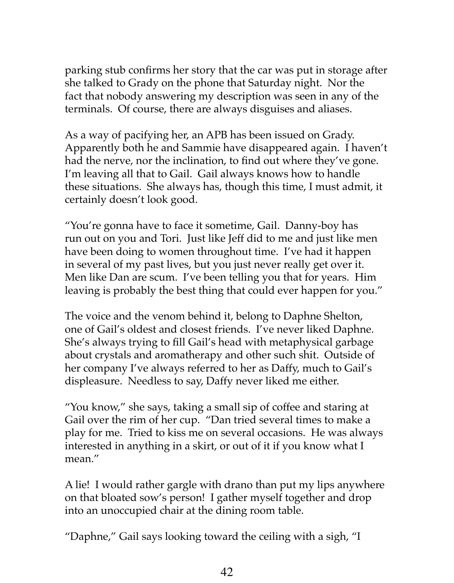parking stub confirms her story that the car was put in storage after she talked to Grady on the phone that Saturday night. Nor the fact that nobody answering my description was seen in any of the terminals. Of course, there are always disguises and aliases.

As a way of pacifying her, an APB has been issued on Grady. Apparently both he and Sammie have disappeared again. I haven't had the nerve, nor the inclination, to find out where they've gone. I'm leaving all that to Gail. Gail always knows how to handle these situations. She always has, though this time, I must admit, it certainly doesn't look good.

"You're gonna have to face it sometime, Gail. Danny-boy has run out on you and Tori. Just like Jeff did to me and just like men have been doing to women throughout time. I've had it happen in several of my past lives, but you just never really get over it. Men like Dan are scum. I've been telling you that for years. Him leaving is probably the best thing that could ever happen for you."

The voice and the venom behind it, belong to Daphne Shelton, one of Gail's oldest and closest friends. I've never liked Daphne. She's always trying to fill Gail's head with metaphysical garbage about crystals and aromatherapy and other such shit. Outside of her company I've always referred to her as Daffy, much to Gail's displeasure. Needless to say, Daffy never liked me either.

"You know," she says, taking a small sip of coffee and staring at Gail over the rim of her cup. "Dan tried several times to make a play for me. Tried to kiss me on several occasions. He was always interested in anything in a skirt, or out of it if you know what I mean."

A lie! I would rather gargle with drano than put my lips anywhere on that bloated sow's person! I gather myself together and drop into an unoccupied chair at the dining room table.

"Daphne," Gail says looking toward the ceiling with a sigh, "I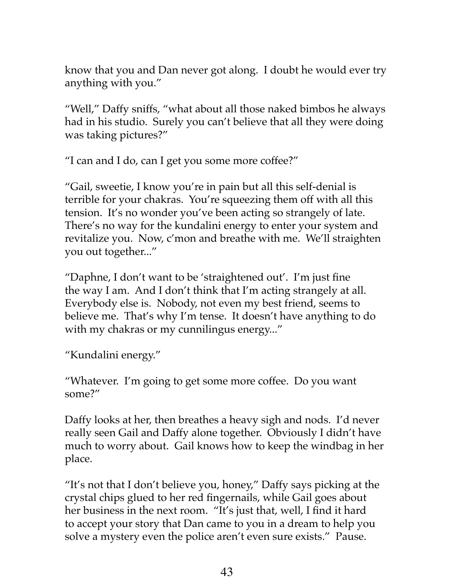know that you and Dan never got along. I doubt he would ever try anything with you."

"Well," Daffy sniffs, "what about all those naked bimbos he always had in his studio. Surely you can't believe that all they were doing was taking pictures?"

"I can and I do, can I get you some more coffee?"

"Gail, sweetie, I know you're in pain but all this self-denial is terrible for your chakras. You're squeezing them off with all this tension. It's no wonder you've been acting so strangely of late. There's no way for the kundalini energy to enter your system and revitalize you. Now, c'mon and breathe with me. We'll straighten you out together..."

"Daphne, I don't want to be 'straightened out'. I'm just fine the way I am. And I don't think that I'm acting strangely at all. Everybody else is. Nobody, not even my best friend, seems to believe me. That's why I'm tense. It doesn't have anything to do with my chakras or my cunnilingus energy..."

"Kundalini energy."

"Whatever. I'm going to get some more coffee. Do you want some?"

Daffy looks at her, then breathes a heavy sigh and nods. I'd never really seen Gail and Daffy alone together. Obviously I didn't have much to worry about. Gail knows how to keep the windbag in her place.

"It's not that I don't believe you, honey," Daffy says picking at the crystal chips glued to her red fingernails, while Gail goes about her business in the next room. "It's just that, well, I find it hard to accept your story that Dan came to you in a dream to help you solve a mystery even the police aren't even sure exists." Pause.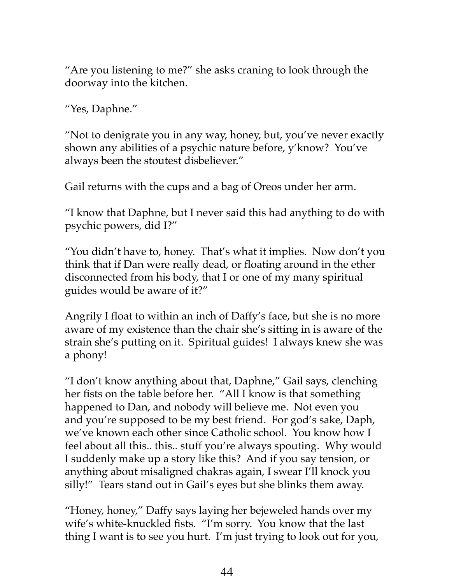"Are you listening to me?" she asks craning to look through the doorway into the kitchen.

"Yes, Daphne."

"Not to denigrate you in any way, honey, but, you've never exactly shown any abilities of a psychic nature before, y'know? You've always been the stoutest disbeliever."

Gail returns with the cups and a bag of Oreos under her arm.

"I know that Daphne, but I never said this had anything to do with psychic powers, did I?"

"You didn't have to, honey. That's what it implies. Now don't you think that if Dan were really dead, or floating around in the ether disconnected from his body, that I or one of my many spiritual guides would be aware of it?"

Angrily I float to within an inch of Daffy's face, but she is no more aware of my existence than the chair she's sitting in is aware of the strain she's putting on it. Spiritual guides! I always knew she was a phony!

"I don't know anything about that, Daphne," Gail says, clenching her fists on the table before her. "All I know is that something happened to Dan, and nobody will believe me. Not even you and you're supposed to be my best friend. For god's sake, Daph, we've known each other since Catholic school. You know how I feel about all this.. this.. stuff you're always spouting. Why would I suddenly make up a story like this? And if you say tension, or anything about misaligned chakras again, I swear I'll knock you silly!" Tears stand out in Gail's eyes but she blinks them away.

"Honey, honey," Daffy says laying her bejeweled hands over my wife's white-knuckled fists. "I'm sorry. You know that the last thing I want is to see you hurt. I'm just trying to look out for you,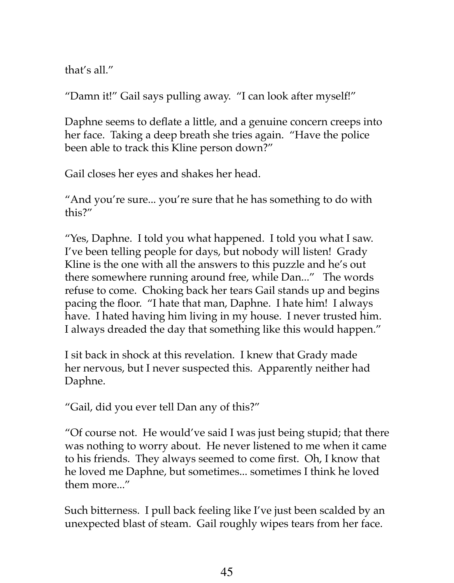that's all."

"Damn it!" Gail says pulling away. "I can look after myself!"

Daphne seems to deflate a little, and a genuine concern creeps into her face. Taking a deep breath she tries again. "Have the police been able to track this Kline person down?"

Gail closes her eyes and shakes her head.

"And you're sure... you're sure that he has something to do with this?"

"Yes, Daphne. I told you what happened. I told you what I saw. I've been telling people for days, but nobody will listen! Grady Kline is the one with all the answers to this puzzle and he's out there somewhere running around free, while Dan..." The words refuse to come. Choking back her tears Gail stands up and begins pacing the floor. "I hate that man, Daphne. I hate him! I always have. I hated having him living in my house. I never trusted him. I always dreaded the day that something like this would happen."

I sit back in shock at this revelation. I knew that Grady made her nervous, but I never suspected this. Apparently neither had Daphne.

"Gail, did you ever tell Dan any of this?"

"Of course not. He would've said I was just being stupid; that there was nothing to worry about. He never listened to me when it came to his friends. They always seemed to come first. Oh, I know that he loved me Daphne, but sometimes... sometimes I think he loved them more..."

Such bitterness. I pull back feeling like I've just been scalded by an unexpected blast of steam. Gail roughly wipes tears from her face.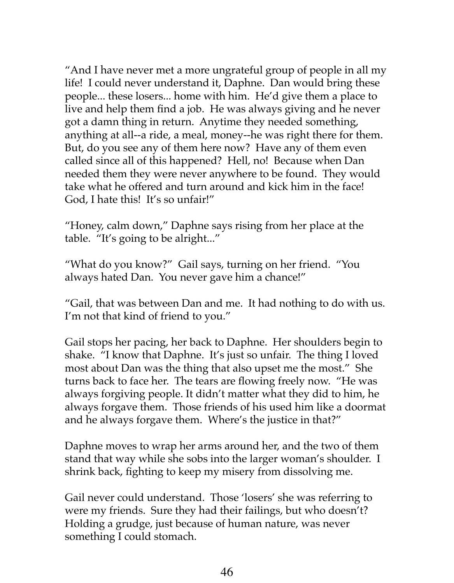"And I have never met a more ungrateful group of people in all my life! I could never understand it, Daphne. Dan would bring these people... these losers... home with him. He'd give them a place to live and help them find a job. He was always giving and he never got a damn thing in return. Anytime they needed something, anything at all--a ride, a meal, money--he was right there for them. But, do you see any of them here now? Have any of them even called since all of this happened? Hell, no! Because when Dan needed them they were never anywhere to be found. They would take what he offered and turn around and kick him in the face! God, I hate this! It's so unfair!"

"Honey, calm down," Daphne says rising from her place at the table. "It's going to be alright..."

"What do you know?" Gail says, turning on her friend. "You always hated Dan. You never gave him a chance!"

"Gail, that was between Dan and me. It had nothing to do with us. I'm not that kind of friend to you."

Gail stops her pacing, her back to Daphne. Her shoulders begin to shake. "I know that Daphne. It's just so unfair. The thing I loved most about Dan was the thing that also upset me the most." She turns back to face her. The tears are flowing freely now. "He was always forgiving people. It didn't matter what they did to him, he always forgave them. Those friends of his used him like a doormat and he always forgave them. Where's the justice in that?"

Daphne moves to wrap her arms around her, and the two of them stand that way while she sobs into the larger woman's shoulder. I shrink back, fighting to keep my misery from dissolving me.

Gail never could understand. Those 'losers' she was referring to were my friends. Sure they had their failings, but who doesn't? Holding a grudge, just because of human nature, was never something I could stomach.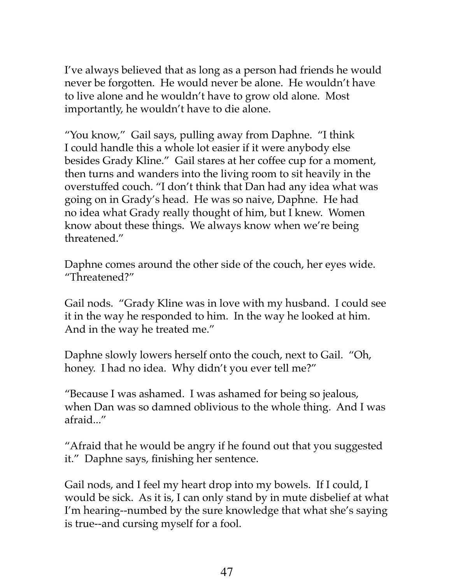I've always believed that as long as a person had friends he would never be forgotten. He would never be alone. He wouldn't have to live alone and he wouldn't have to grow old alone. Most importantly, he wouldn't have to die alone.

"You know," Gail says, pulling away from Daphne. "I think I could handle this a whole lot easier if it were anybody else besides Grady Kline." Gail stares at her coffee cup for a moment, then turns and wanders into the living room to sit heavily in the overstuffed couch. "I don't think that Dan had any idea what was going on in Grady's head. He was so naive, Daphne. He had no idea what Grady really thought of him, but I knew. Women know about these things. We always know when we're being threatened."

Daphne comes around the other side of the couch, her eyes wide. "Threatened?"

Gail nods. "Grady Kline was in love with my husband. I could see it in the way he responded to him. In the way he looked at him. And in the way he treated me."

Daphne slowly lowers herself onto the couch, next to Gail. "Oh, honey. I had no idea. Why didn't you ever tell me?"

"Because I was ashamed. I was ashamed for being so jealous, when Dan was so damned oblivious to the whole thing. And I was afraid..."

"Afraid that he would be angry if he found out that you suggested it." Daphne says, finishing her sentence.

Gail nods, and I feel my heart drop into my bowels. If I could, I would be sick. As it is, I can only stand by in mute disbelief at what I'm hearing--numbed by the sure knowledge that what she's saying is true--and cursing myself for a fool.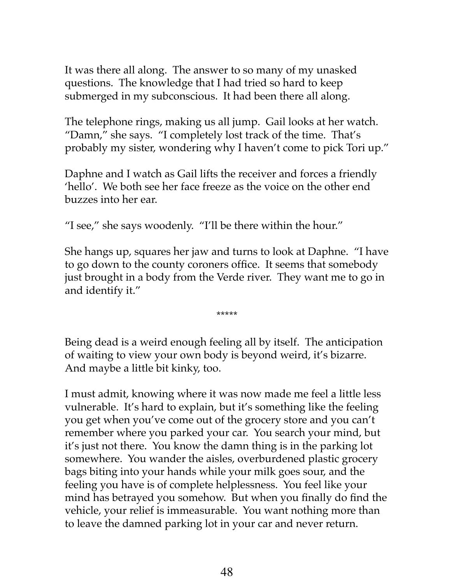It was there all along. The answer to so many of my unasked questions. The knowledge that I had tried so hard to keep submerged in my subconscious. It had been there all along.

The telephone rings, making us all jump. Gail looks at her watch. "Damn," she says. "I completely lost track of the time. That's probably my sister, wondering why I haven't come to pick Tori up."

Daphne and I watch as Gail lifts the receiver and forces a friendly 'hello'. We both see her face freeze as the voice on the other end buzzes into her ear.

"I see," she says woodenly. "I'll be there within the hour."

She hangs up, squares her jaw and turns to look at Daphne. "I have to go down to the county coroners office. It seems that somebody just brought in a body from the Verde river. They want me to go in and identify it."

\*\*\*\*\*

Being dead is a weird enough feeling all by itself. The anticipation of waiting to view your own body is beyond weird, it's bizarre. And maybe a little bit kinky, too.

I must admit, knowing where it was now made me feel a little less vulnerable. It's hard to explain, but it's something like the feeling you get when you've come out of the grocery store and you can't remember where you parked your car. You search your mind, but it's just not there. You know the damn thing is in the parking lot somewhere. You wander the aisles, overburdened plastic grocery bags biting into your hands while your milk goes sour, and the feeling you have is of complete helplessness. You feel like your mind has betrayed you somehow. But when you finally do find the vehicle, your relief is immeasurable. You want nothing more than to leave the damned parking lot in your car and never return.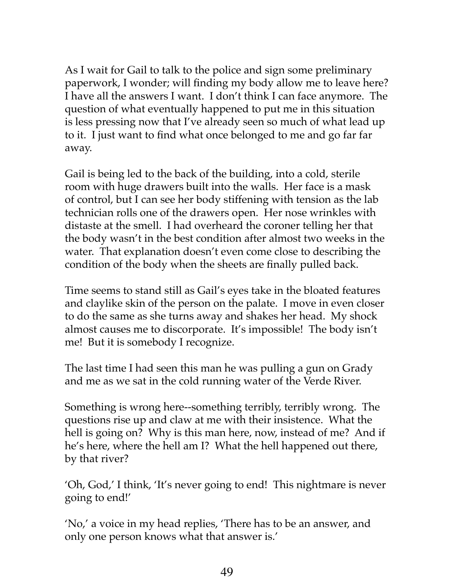As I wait for Gail to talk to the police and sign some preliminary paperwork, I wonder; will finding my body allow me to leave here? I have all the answers I want. I don't think I can face anymore. The question of what eventually happened to put me in this situation is less pressing now that I've already seen so much of what lead up to it. I just want to find what once belonged to me and go far far away.

Gail is being led to the back of the building, into a cold, sterile room with huge drawers built into the walls. Her face is a mask of control, but I can see her body stiffening with tension as the lab technician rolls one of the drawers open. Her nose wrinkles with distaste at the smell. I had overheard the coroner telling her that the body wasn't in the best condition after almost two weeks in the water. That explanation doesn't even come close to describing the condition of the body when the sheets are finally pulled back.

Time seems to stand still as Gail's eyes take in the bloated features and claylike skin of the person on the palate. I move in even closer to do the same as she turns away and shakes her head. My shock almost causes me to discorporate. It's impossible! The body isn't me! But it is somebody I recognize.

The last time I had seen this man he was pulling a gun on Grady and me as we sat in the cold running water of the Verde River.

Something is wrong here--something terribly, terribly wrong. The questions rise up and claw at me with their insistence. What the hell is going on? Why is this man here, now, instead of me? And if he's here, where the hell am I? What the hell happened out there, by that river?

'Oh, God,' I think, 'It's never going to end! This nightmare is never going to end!'

'No,' a voice in my head replies, 'There has to be an answer, and only one person knows what that answer is.'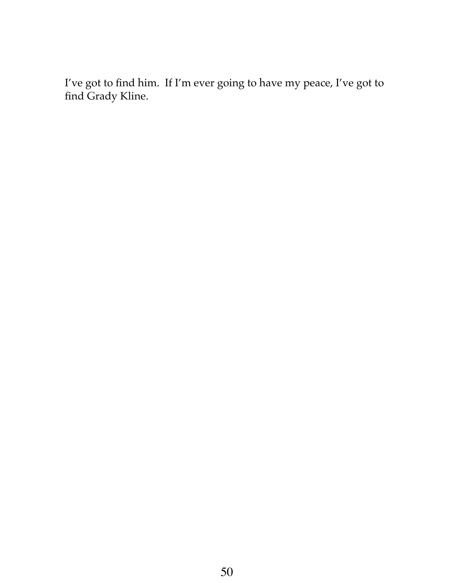I've got to find him. If I'm ever going to have my peace, I've got to find Grady Kline.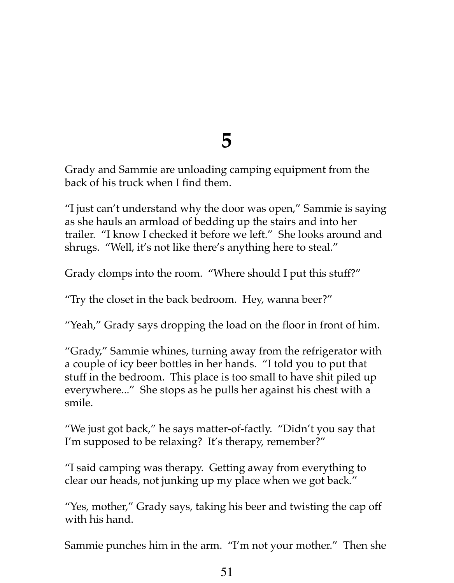#### **5**

Grady and Sammie are unloading camping equipment from the back of his truck when I find them.

"I just can't understand why the door was open," Sammie is saying as she hauls an armload of bedding up the stairs and into her trailer. "I know I checked it before we left." She looks around and shrugs. "Well, it's not like there's anything here to steal."

Grady clomps into the room. "Where should I put this stuff?"

"Try the closet in the back bedroom. Hey, wanna beer?"

"Yeah," Grady says dropping the load on the floor in front of him.

"Grady," Sammie whines, turning away from the refrigerator with a couple of icy beer bottles in her hands. "I told you to put that stuff in the bedroom. This place is too small to have shit piled up everywhere..." She stops as he pulls her against his chest with a smile.

"We just got back," he says matter-of-factly. "Didn't you say that I'm supposed to be relaxing? It's therapy, remember?"

"I said camping was therapy. Getting away from everything to clear our heads, not junking up my place when we got back."

"Yes, mother," Grady says, taking his beer and twisting the cap off with his hand.

Sammie punches him in the arm. "I'm not your mother." Then she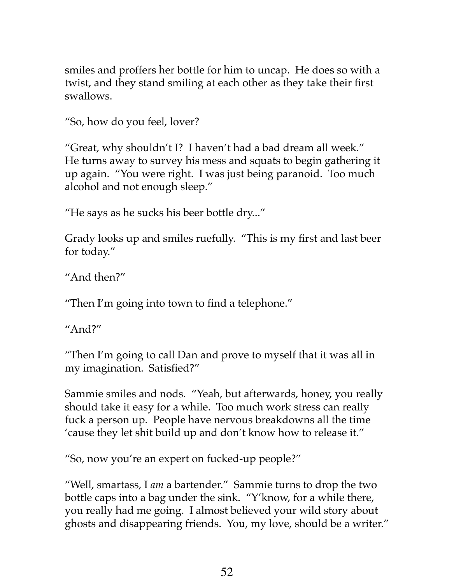smiles and proffers her bottle for him to uncap. He does so with a twist, and they stand smiling at each other as they take their first swallows.

"So, how do you feel, lover?

"Great, why shouldn't I? I haven't had a bad dream all week." He turns away to survey his mess and squats to begin gathering it up again. "You were right. I was just being paranoid. Too much alcohol and not enough sleep."

"He says as he sucks his beer bottle dry..."

Grady looks up and smiles ruefully. "This is my first and last beer for today."

"And then?"

"Then I'm going into town to find a telephone."

"And?"

"Then I'm going to call Dan and prove to myself that it was all in my imagination. Satisfied?"

Sammie smiles and nods. "Yeah, but afterwards, honey, you really should take it easy for a while. Too much work stress can really fuck a person up. People have nervous breakdowns all the time 'cause they let shit build up and don't know how to release it."

"So, now you're an expert on fucked-up people?"

"Well, smartass, I *am* a bartender." Sammie turns to drop the two bottle caps into a bag under the sink. "Y'know, for a while there, you really had me going. I almost believed your wild story about ghosts and disappearing friends. You, my love, should be a writer."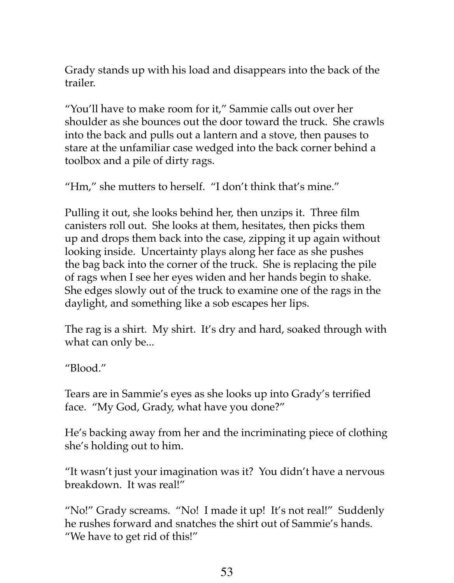Grady stands up with his load and disappears into the back of the trailer.

"You'll have to make room for it," Sammie calls out over her shoulder as she bounces out the door toward the truck. She crawls into the back and pulls out a lantern and a stove, then pauses to stare at the unfamiliar case wedged into the back corner behind a toolbox and a pile of dirty rags.

"Hm," she mutters to herself. "I don't think that's mine."

Pulling it out, she looks behind her, then unzips it. Three film canisters roll out. She looks at them, hesitates, then picks them up and drops them back into the case, zipping it up again without looking inside. Uncertainty plays along her face as she pushes the bag back into the corner of the truck. She is replacing the pile of rags when I see her eyes widen and her hands begin to shake. She edges slowly out of the truck to examine one of the rags in the daylight, and something like a sob escapes her lips.

The rag is a shirt. My shirt. It's dry and hard, soaked through with what can only be...

"Blood."

Tears are in Sammie's eyes as she looks up into Grady's terrified face. "My God, Grady, what have you done?"

He's backing away from her and the incriminating piece of clothing she's holding out to him.

"It wasn't just your imagination was it? You didn't have a nervous breakdown. It was real!"

"No!" Grady screams. "No! I made it up! It's not real!" Suddenly he rushes forward and snatches the shirt out of Sammie's hands. "We have to get rid of this!"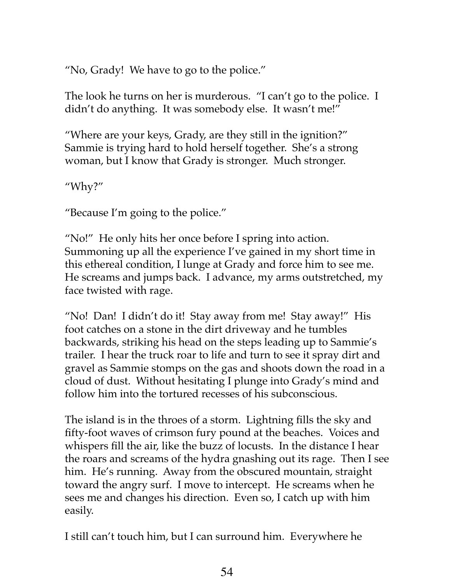"No, Grady! We have to go to the police."

The look he turns on her is murderous. "I can't go to the police. I didn't do anything. It was somebody else. It wasn't me!"

"Where are your keys, Grady, are they still in the ignition?" Sammie is trying hard to hold herself together. She's a strong woman, but I know that Grady is stronger. Much stronger.

"Why?"

"Because I'm going to the police."

"No!" He only hits her once before I spring into action. Summoning up all the experience I've gained in my short time in this ethereal condition, I lunge at Grady and force him to see me. He screams and jumps back. I advance, my arms outstretched, my face twisted with rage.

"No! Dan! I didn't do it! Stay away from me! Stay away!" His foot catches on a stone in the dirt driveway and he tumbles backwards, striking his head on the steps leading up to Sammie's trailer. I hear the truck roar to life and turn to see it spray dirt and gravel as Sammie stomps on the gas and shoots down the road in a cloud of dust. Without hesitating I plunge into Grady's mind and follow him into the tortured recesses of his subconscious.

The island is in the throes of a storm. Lightning fills the sky and fifty-foot waves of crimson fury pound at the beaches. Voices and whispers fill the air, like the buzz of locusts. In the distance I hear the roars and screams of the hydra gnashing out its rage. Then I see him. He's running. Away from the obscured mountain, straight toward the angry surf. I move to intercept. He screams when he sees me and changes his direction. Even so, I catch up with him easily.

I still can't touch him, but I can surround him. Everywhere he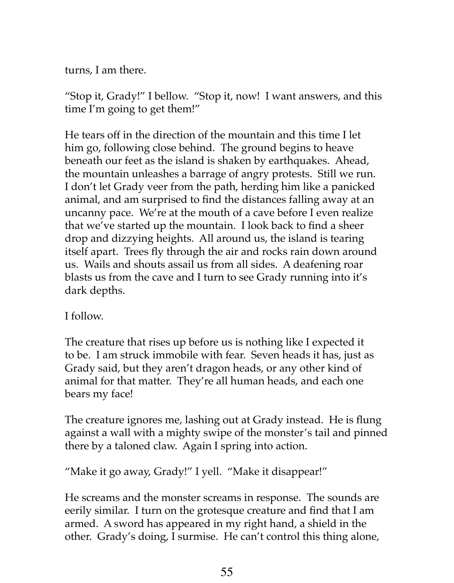turns, I am there.

"Stop it, Grady!" I bellow. "Stop it, now! I want answers, and this time I'm going to get them!"

He tears off in the direction of the mountain and this time I let him go, following close behind. The ground begins to heave beneath our feet as the island is shaken by earthquakes. Ahead, the mountain unleashes a barrage of angry protests. Still we run. I don't let Grady veer from the path, herding him like a panicked animal, and am surprised to find the distances falling away at an uncanny pace. We're at the mouth of a cave before I even realize that we've started up the mountain. I look back to find a sheer drop and dizzying heights. All around us, the island is tearing itself apart. Trees fly through the air and rocks rain down around us. Wails and shouts assail us from all sides. A deafening roar blasts us from the cave and I turn to see Grady running into it's dark depths.

I follow.

The creature that rises up before us is nothing like I expected it to be. I am struck immobile with fear. Seven heads it has, just as Grady said, but they aren't dragon heads, or any other kind of animal for that matter. They're all human heads, and each one bears my face!

The creature ignores me, lashing out at Grady instead. He is flung against a wall with a mighty swipe of the monster's tail and pinned there by a taloned claw. Again I spring into action.

"Make it go away, Grady!" I yell. "Make it disappear!"

He screams and the monster screams in response. The sounds are eerily similar. I turn on the grotesque creature and find that I am armed. A sword has appeared in my right hand, a shield in the other. Grady's doing, I surmise. He can't control this thing alone,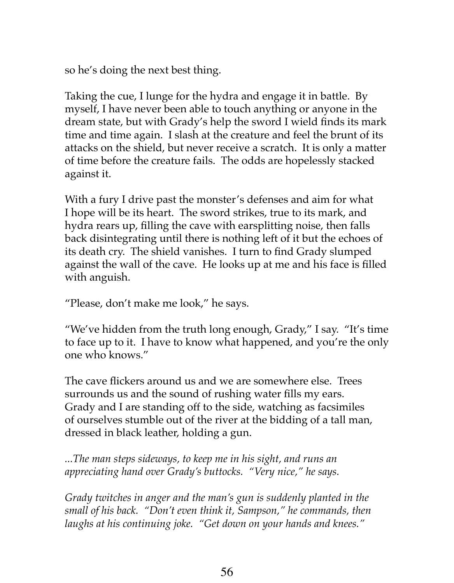so he's doing the next best thing.

Taking the cue, I lunge for the hydra and engage it in battle. By myself, I have never been able to touch anything or anyone in the dream state, but with Grady's help the sword I wield finds its mark time and time again. I slash at the creature and feel the brunt of its attacks on the shield, but never receive a scratch. It is only a matter of time before the creature fails. The odds are hopelessly stacked against it.

With a fury I drive past the monster's defenses and aim for what I hope will be its heart. The sword strikes, true to its mark, and hydra rears up, filling the cave with earsplitting noise, then falls back disintegrating until there is nothing left of it but the echoes of its death cry. The shield vanishes. I turn to find Grady slumped against the wall of the cave. He looks up at me and his face is filled with anguish.

"Please, don't make me look," he says.

"We've hidden from the truth long enough, Grady," I say. "It's time to face up to it. I have to know what happened, and you're the only one who knows."

The cave flickers around us and we are somewhere else. Trees surrounds us and the sound of rushing water fills my ears. Grady and I are standing off to the side, watching as facsimiles of ourselves stumble out of the river at the bidding of a tall man, dressed in black leather, holding a gun.

*...The man steps sideways, to keep me in his sight, and runs an appreciating hand over Grady's buttocks. "Very nice," he says.*

*Grady twitches in anger and the man's gun is suddenly planted in the small of his back. "Don't even think it, Sampson," he commands, then laughs at his continuing joke. "Get down on your hands and knees."*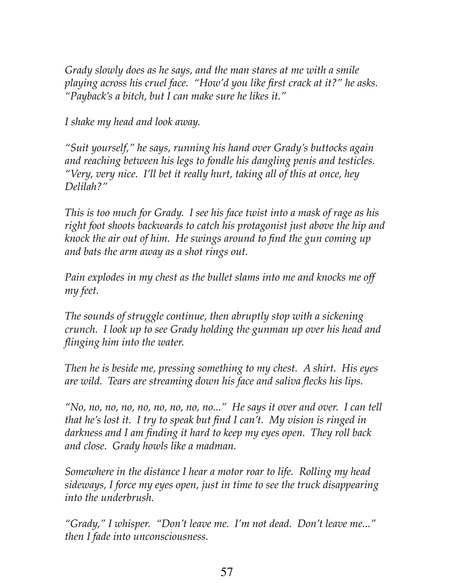*Grady slowly does as he says, and the man stares at me with a smile playing across his cruel face. "How'd you like first crack at it?" he asks. "Payback's a bitch, but I can make sure he likes it."*

*I shake my head and look away.*

*"Suit yourself," he says, running his hand over Grady's buttocks again and reaching between his legs to fondle his dangling penis and testicles. "Very, very nice. I'll bet it really hurt, taking all of this at once, hey Delilah?"*

*This is too much for Grady. I see his face twist into a mask of rage as his right foot shoots backwards to catch his protagonist just above the hip and knock the air out of him. He swings around to find the gun coming up and bats the arm away as a shot rings out.*

*Pain explodes in my chest as the bullet slams into me and knocks me off my feet.*

*The sounds of struggle continue, then abruptly stop with a sickening crunch. I look up to see Grady holding the gunman up over his head and flinging him into the water.* 

*Then he is beside me, pressing something to my chest. A shirt. His eyes are wild. Tears are streaming down his face and saliva flecks his lips.* 

*"No, no, no, no, no, no, no, no, no..." He says it over and over. I can tell that he's lost it. I try to speak but find I can't. My vision is ringed in darkness and I am finding it hard to keep my eyes open. They roll back and close. Grady howls like a madman.* 

*Somewhere in the distance I hear a motor roar to life. Rolling my head sideways, I force my eyes open, just in time to see the truck disappearing into the underbrush.*

*"Grady," I whisper. "Don't leave me. I'm not dead. Don't leave me..." then I fade into unconsciousness.*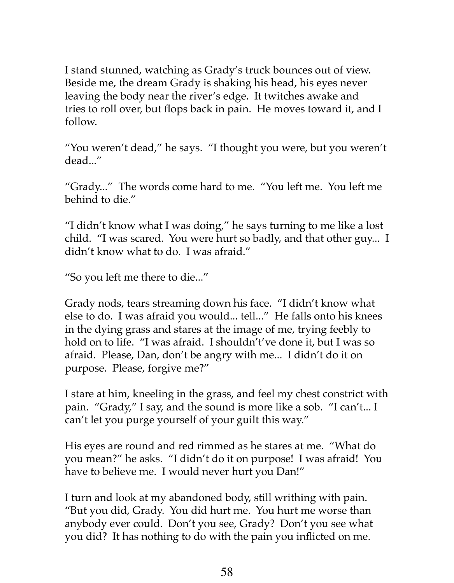I stand stunned, watching as Grady's truck bounces out of view. Beside me, the dream Grady is shaking his head, his eyes never leaving the body near the river's edge. It twitches awake and tries to roll over, but flops back in pain. He moves toward it, and I follow.

"You weren't dead," he says. "I thought you were, but you weren't dead..."

"Grady..." The words come hard to me. "You left me. You left me behind to die."

"I didn't know what I was doing," he says turning to me like a lost child. "I was scared. You were hurt so badly, and that other guy... I didn't know what to do. I was afraid."

"So you left me there to die..."

Grady nods, tears streaming down his face. "I didn't know what else to do. I was afraid you would... tell..." He falls onto his knees in the dying grass and stares at the image of me, trying feebly to hold on to life. "I was afraid. I shouldn't've done it, but I was so afraid. Please, Dan, don't be angry with me... I didn't do it on purpose. Please, forgive me?"

I stare at him, kneeling in the grass, and feel my chest constrict with pain. "Grady," I say, and the sound is more like a sob. "I can't... I can't let you purge yourself of your guilt this way."

His eyes are round and red rimmed as he stares at me. "What do you mean?" he asks. "I didn't do it on purpose! I was afraid! You have to believe me. I would never hurt you Dan!"

I turn and look at my abandoned body, still writhing with pain. "But you did, Grady. You did hurt me. You hurt me worse than anybody ever could. Don't you see, Grady? Don't you see what you did? It has nothing to do with the pain you inflicted on me.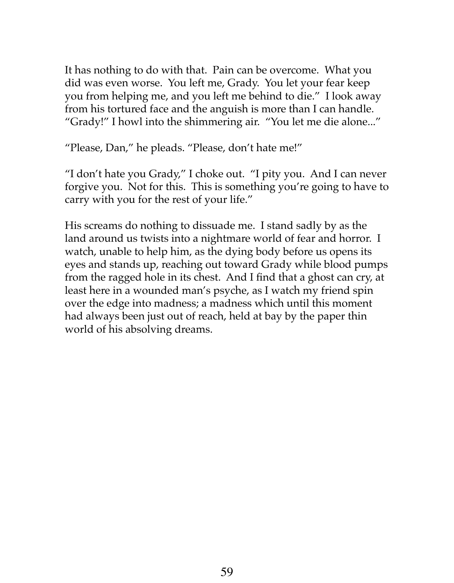It has nothing to do with that. Pain can be overcome. What you did was even worse. You left me, Grady. You let your fear keep you from helping me, and you left me behind to die." I look away from his tortured face and the anguish is more than I can handle. "Grady!" I howl into the shimmering air. "You let me die alone..."

"Please, Dan," he pleads. "Please, don't hate me!"

"I don't hate you Grady," I choke out. "I pity you. And I can never forgive you. Not for this. This is something you're going to have to carry with you for the rest of your life."

His screams do nothing to dissuade me. I stand sadly by as the land around us twists into a nightmare world of fear and horror. I watch, unable to help him, as the dying body before us opens its eyes and stands up, reaching out toward Grady while blood pumps from the ragged hole in its chest. And I find that a ghost can cry, at least here in a wounded man's psyche, as I watch my friend spin over the edge into madness; a madness which until this moment had always been just out of reach, held at bay by the paper thin world of his absolving dreams.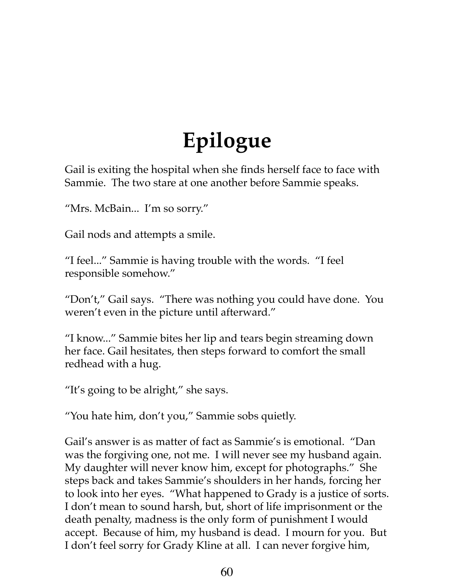## **Epilogue**

Gail is exiting the hospital when she finds herself face to face with Sammie. The two stare at one another before Sammie speaks.

"Mrs. McBain... I'm so sorry."

Gail nods and attempts a smile.

"I feel..." Sammie is having trouble with the words. "I feel responsible somehow."

"Don't," Gail says. "There was nothing you could have done. You weren't even in the picture until afterward."

"I know..." Sammie bites her lip and tears begin streaming down her face. Gail hesitates, then steps forward to comfort the small redhead with a hug.

"It's going to be alright," she says.

"You hate him, don't you," Sammie sobs quietly.

Gail's answer is as matter of fact as Sammie's is emotional. "Dan was the forgiving one, not me. I will never see my husband again. My daughter will never know him, except for photographs." She steps back and takes Sammie's shoulders in her hands, forcing her to look into her eyes. "What happened to Grady is a justice of sorts. I don't mean to sound harsh, but, short of life imprisonment or the death penalty, madness is the only form of punishment I would accept. Because of him, my husband is dead. I mourn for you. But I don't feel sorry for Grady Kline at all. I can never forgive him,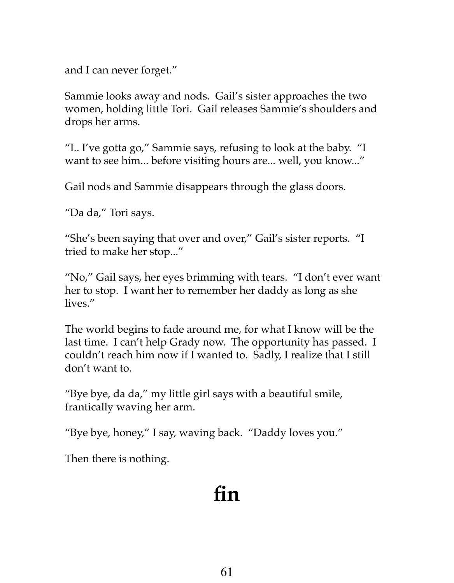and I can never forget."

Sammie looks away and nods. Gail's sister approaches the two women, holding little Tori. Gail releases Sammie's shoulders and drops her arms.

"I.. I've gotta go," Sammie says, refusing to look at the baby. "I want to see him... before visiting hours are... well, you know..."

Gail nods and Sammie disappears through the glass doors.

"Da da," Tori says.

"She's been saying that over and over," Gail's sister reports. "I tried to make her stop..."

"No," Gail says, her eyes brimming with tears. "I don't ever want her to stop. I want her to remember her daddy as long as she lives."

The world begins to fade around me, for what I know will be the last time. I can't help Grady now. The opportunity has passed. I couldn't reach him now if I wanted to. Sadly, I realize that I still don't want to.

"Bye bye, da da," my little girl says with a beautiful smile, frantically waving her arm.

"Bye bye, honey," I say, waving back. "Daddy loves you."

Then there is nothing.

### **fin**